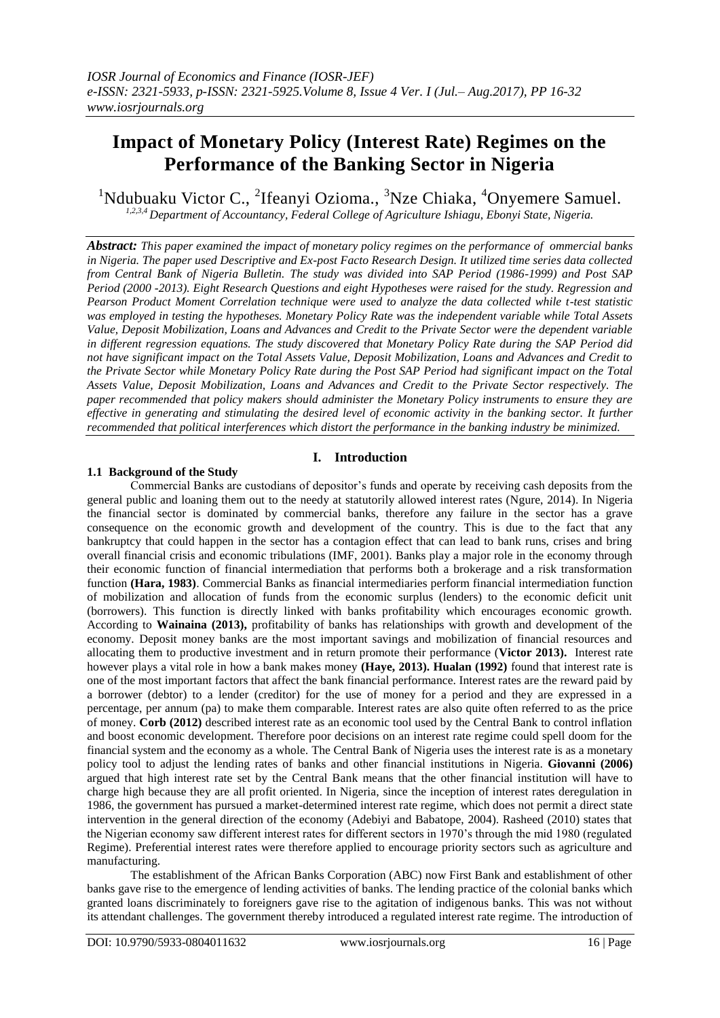# **Impact of Monetary Policy (Interest Rate) Regimes on the Performance of the Banking Sector in Nigeria**

<sup>1</sup>Ndubuaku Victor C., <sup>2</sup>Ifeanyi Ozioma., <sup>3</sup>Nze Chiaka, <sup>4</sup>Onyemere Samuel. *1,2,3,4 Department of Accountancy, Federal College of Agriculture Ishiagu, Ebonyi State, Nigeria.*

*Abstract: This paper examined the impact of monetary policy regimes on the performance of ommercial banks in Nigeria. The paper used Descriptive and Ex-post Facto Research Design. It utilized time series data collected from Central Bank of Nigeria Bulletin. The study was divided into SAP Period (1986-1999) and Post SAP Period (2000 -2013). Eight Research Questions and eight Hypotheses were raised for the study. Regression and Pearson Product Moment Correlation technique were used to analyze the data collected while t-test statistic was employed in testing the hypotheses. Monetary Policy Rate was the independent variable while Total Assets Value, Deposit Mobilization, Loans and Advances and Credit to the Private Sector were the dependent variable in different regression equations. The study discovered that Monetary Policy Rate during the SAP Period did not have significant impact on the Total Assets Value, Deposit Mobilization, Loans and Advances and Credit to the Private Sector while Monetary Policy Rate during the Post SAP Period had significant impact on the Total Assets Value, Deposit Mobilization, Loans and Advances and Credit to the Private Sector respectively. The paper recommended that policy makers should administer the Monetary Policy instruments to ensure they are effective in generating and stimulating the desired level of economic activity in the banking sector. It further recommended that political interferences which distort the performance in the banking industry be minimized.*

# **I. Introduction**

# **1.1 Background of the Study**

Commercial Banks are custodians of depositor's funds and operate by receiving cash deposits from the general public and loaning them out to the needy at statutorily allowed interest rates (Ngure, 2014). In Nigeria the financial sector is dominated by commercial banks, therefore any failure in the sector has a grave consequence on the economic growth and development of the country. This is due to the fact that any bankruptcy that could happen in the sector has a contagion effect that can lead to bank runs, crises and bring overall financial crisis and economic tribulations (IMF, 2001). Banks play a major role in the economy through their economic function of financial intermediation that performs both a brokerage and a risk transformation function **(Hara, 1983)**. Commercial Banks as financial intermediaries perform financial intermediation function of mobilization and allocation of funds from the economic surplus (lenders) to the economic deficit unit (borrowers). This function is directly linked with banks profitability which encourages economic growth. According to **Wainaina (2013),** profitability of banks has relationships with growth and development of the economy. Deposit money banks are the most important savings and mobilization of financial resources and allocating them to productive investment and in return promote their performance (**Victor 2013).** Interest rate however plays a vital role in how a bank makes money **(Haye, 2013). Hualan (1992)** found that interest rate is one of the most important factors that affect the bank financial performance. Interest rates are the reward paid by a borrower (debtor) to a lender (creditor) for the use of money for a period and they are expressed in a percentage, per annum (pa) to make them comparable. Interest rates are also quite often referred to as the price of money. **Corb (2012)** described interest rate as an economic tool used by the Central Bank to control inflation and boost economic development. Therefore poor decisions on an interest rate regime could spell doom for the financial system and the economy as a whole. The Central Bank of Nigeria uses the interest rate is as a monetary policy tool to adjust the lending rates of banks and other financial institutions in Nigeria. **Giovanni (2006)** argued that high interest rate set by the Central Bank means that the other financial institution will have to charge high because they are all profit oriented. In Nigeria, since the inception of interest rates deregulation in 1986, the government has pursued a market-determined interest rate regime, which does not permit a direct state intervention in the general direction of the economy (Adebiyi and Babatope, 2004). Rasheed (2010) states that the Nigerian economy saw different interest rates for different sectors in 1970's through the mid 1980 (regulated Regime). Preferential interest rates were therefore applied to encourage priority sectors such as agriculture and manufacturing.

The establishment of the African Banks Corporation (ABC) now First Bank and establishment of other banks gave rise to the emergence of lending activities of banks. The lending practice of the colonial banks which granted loans discriminately to foreigners gave rise to the agitation of indigenous banks. This was not without its attendant challenges. The government thereby introduced a regulated interest rate regime. The introduction of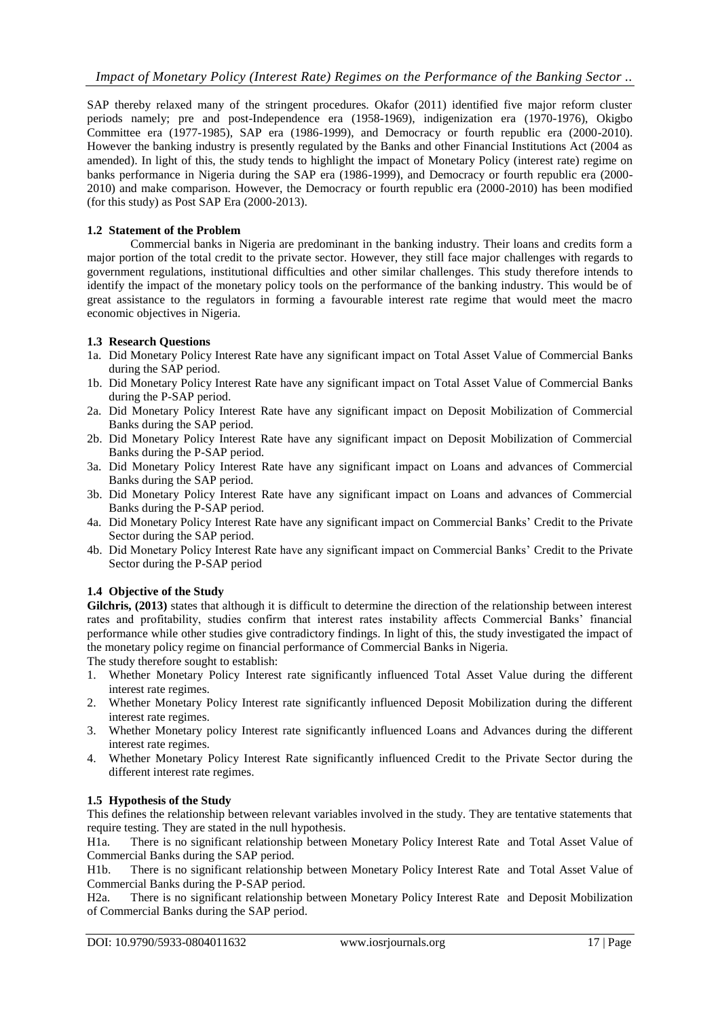SAP thereby relaxed many of the stringent procedures. Okafor (2011) identified five major reform cluster periods namely; pre and post-Independence era (1958-1969), indigenization era (1970-1976), Okigbo Committee era (1977-1985), SAP era (1986-1999), and Democracy or fourth republic era (2000-2010). However the banking industry is presently regulated by the Banks and other Financial Institutions Act (2004 as amended). In light of this, the study tends to highlight the impact of Monetary Policy (interest rate) regime on banks performance in Nigeria during the SAP era (1986-1999), and Democracy or fourth republic era (2000- 2010) and make comparison. However, the Democracy or fourth republic era (2000-2010) has been modified (for this study) as Post SAP Era (2000-2013).

## **1.2 Statement of the Problem**

Commercial banks in Nigeria are predominant in the banking industry. Their loans and credits form a major portion of the total credit to the private sector. However, they still face major challenges with regards to government regulations, institutional difficulties and other similar challenges. This study therefore intends to identify the impact of the monetary policy tools on the performance of the banking industry. This would be of great assistance to the regulators in forming a favourable interest rate regime that would meet the macro economic objectives in Nigeria.

## **1.3 Research Questions**

- 1a. Did Monetary Policy Interest Rate have any significant impact on Total Asset Value of Commercial Banks during the SAP period.
- 1b. Did Monetary Policy Interest Rate have any significant impact on Total Asset Value of Commercial Banks during the P-SAP period.
- 2a. Did Monetary Policy Interest Rate have any significant impact on Deposit Mobilization of Commercial Banks during the SAP period.
- 2b. Did Monetary Policy Interest Rate have any significant impact on Deposit Mobilization of Commercial Banks during the P-SAP period.
- 3a. Did Monetary Policy Interest Rate have any significant impact on Loans and advances of Commercial Banks during the SAP period.
- 3b. Did Monetary Policy Interest Rate have any significant impact on Loans and advances of Commercial Banks during the P-SAP period.
- 4a. Did Monetary Policy Interest Rate have any significant impact on Commercial Banks' Credit to the Private Sector during the SAP period.
- 4b. Did Monetary Policy Interest Rate have any significant impact on Commercial Banks' Credit to the Private Sector during the P-SAP period

#### **1.4 Objective of the Study**

**Gilchris, (2013)** states that although it is difficult to determine the direction of the relationship between interest rates and profitability, studies confirm that interest rates instability affects Commercial Banks' financial performance while other studies give contradictory findings. In light of this, the study investigated the impact of the monetary policy regime on financial performance of Commercial Banks in Nigeria.

The study therefore sought to establish:

- 1. Whether Monetary Policy Interest rate significantly influenced Total Asset Value during the different interest rate regimes.
- 2. Whether Monetary Policy Interest rate significantly influenced Deposit Mobilization during the different interest rate regimes.
- 3. Whether Monetary policy Interest rate significantly influenced Loans and Advances during the different interest rate regimes.
- 4. Whether Monetary Policy Interest Rate significantly influenced Credit to the Private Sector during the different interest rate regimes.

#### **1.5 Hypothesis of the Study**

This defines the relationship between relevant variables involved in the study. They are tentative statements that require testing. They are stated in the null hypothesis.

H1a. There is no significant relationship between Monetary Policy Interest Rate and Total Asset Value of Commercial Banks during the SAP period.

H1b. There is no significant relationship between Monetary Policy Interest Rate and Total Asset Value of Commercial Banks during the P-SAP period.

H2a. There is no significant relationship between Monetary Policy Interest Rate and Deposit Mobilization of Commercial Banks during the SAP period.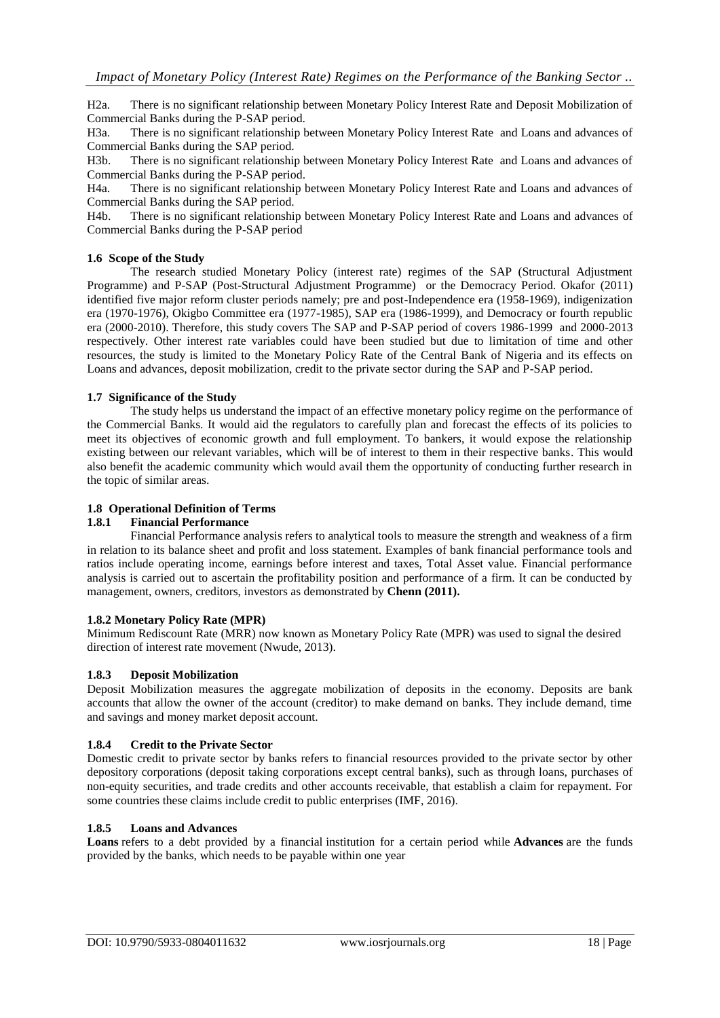H2a. There is no significant relationship between Monetary Policy Interest Rate and Deposit Mobilization of Commercial Banks during the P-SAP period.

H3a. There is no significant relationship between Monetary Policy Interest Rate and Loans and advances of Commercial Banks during the SAP period.

H3b. There is no significant relationship between Monetary Policy Interest Rate and Loans and advances of Commercial Banks during the P-SAP period.

H4a. There is no significant relationship between Monetary Policy Interest Rate and Loans and advances of Commercial Banks during the SAP period.

H4b. There is no significant relationship between Monetary Policy Interest Rate and Loans and advances of Commercial Banks during the P-SAP period

#### **1.6 Scope of the Study**

The research studied Monetary Policy (interest rate) regimes of the SAP (Structural Adjustment Programme) and P-SAP (Post-Structural Adjustment Programme) or the Democracy Period. Okafor (2011) identified five major reform cluster periods namely; pre and post-Independence era (1958-1969), indigenization era (1970-1976), Okigbo Committee era (1977-1985), SAP era (1986-1999), and Democracy or fourth republic era (2000-2010). Therefore, this study covers The SAP and P-SAP period of covers 1986-1999 and 2000-2013 respectively. Other interest rate variables could have been studied but due to limitation of time and other resources, the study is limited to the Monetary Policy Rate of the Central Bank of Nigeria and its effects on Loans and advances, deposit mobilization, credit to the private sector during the SAP and P-SAP period.

## **1.7 Significance of the Study**

The study helps us understand the impact of an effective monetary policy regime on the performance of the Commercial Banks. It would aid the regulators to carefully plan and forecast the effects of its policies to meet its objectives of economic growth and full employment. To bankers, it would expose the relationship existing between our relevant variables, which will be of interest to them in their respective banks. This would also benefit the academic community which would avail them the opportunity of conducting further research in the topic of similar areas.

#### **1.8 Operational Definition of Terms**

## **1.8.1 Financial Performance**

Financial Performance analysis refers to analytical tools to measure the strength and weakness of a firm in relation to its balance sheet and profit and loss statement. Examples of bank financial performance tools and ratios include operating income, earnings before interest and taxes, Total Asset value. Financial performance analysis is carried out to ascertain the profitability position and performance of a firm. It can be conducted by management, owners, creditors, investors as demonstrated by **Chenn (2011).**

#### **1.8.2 Monetary Policy Rate (MPR)**

Minimum Rediscount Rate (MRR) now known as Monetary Policy Rate (MPR) was used to signal the desired direction of interest rate movement (Nwude, 2013).

#### **1.8.3 Deposit Mobilization**

Deposit Mobilization measures the aggregate mobilization of deposits in the economy. Deposits are bank accounts that allow the owner of the account (creditor) to make demand on banks. They include demand, time and savings and money market deposit account.

#### **1.8.4 Credit to the Private Sector**

Domestic credit to private sector by banks refers to financial resources provided to the private sector by other depository corporations (deposit taking corporations except central banks), such as through loans, purchases of non-equity securities, and trade credits and other accounts receivable, that establish a claim for repayment. For some countries these claims include credit to public enterprises (IMF, 2016).

## **1.8.5 Loans and Advances**

**Loans** refers to a debt provided by a financial institution for a certain period while **Advances** are the funds provided by the banks, which needs to be payable within one year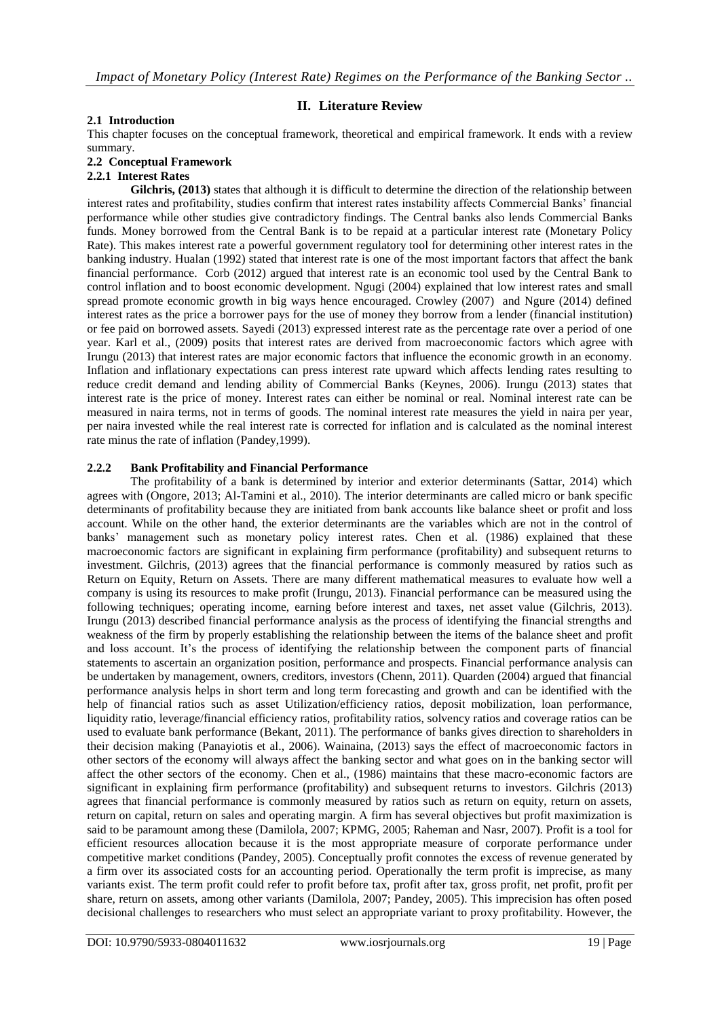## **II. Literature Review**

#### **2.1 Introduction**

This chapter focuses on the conceptual framework, theoretical and empirical framework. It ends with a review summary.

#### **2.2 Conceptual Framework**

#### **2.2.1 Interest Rates**

**Gilchris, (2013)** states that although it is difficult to determine the direction of the relationship between interest rates and profitability, studies confirm that interest rates instability affects Commercial Banks' financial performance while other studies give contradictory findings. The Central banks also lends Commercial Banks funds. Money borrowed from the Central Bank is to be repaid at a particular interest rate (Monetary Policy Rate). This makes interest rate a powerful government regulatory tool for determining other interest rates in the banking industry. Hualan (1992) stated that interest rate is one of the most important factors that affect the bank financial performance. Corb (2012) argued that interest rate is an economic tool used by the Central Bank to control inflation and to boost economic development. Ngugi (2004) explained that low interest rates and small spread promote economic growth in big ways hence encouraged. Crowley (2007) and Ngure (2014) defined interest rates as the price a borrower pays for the use of money they borrow from a lender (financial institution) or fee paid on borrowed assets. Sayedi (2013) expressed interest rate as the percentage rate over a period of one year. Karl et al., (2009) posits that interest rates are derived from macroeconomic factors which agree with Irungu (2013) that interest rates are major economic factors that influence the economic growth in an economy. Inflation and inflationary expectations can press interest rate upward which affects lending rates resulting to reduce credit demand and lending ability of Commercial Banks (Keynes, 2006). Irungu (2013) states that interest rate is the price of money. Interest rates can either be nominal or real. Nominal interest rate can be measured in naira terms, not in terms of goods. The nominal interest rate measures the yield in naira per year, per naira invested while the real interest rate is corrected for inflation and is calculated as the nominal interest rate minus the rate of inflation (Pandey,1999).

#### **2.2.2 Bank Profitability and Financial Performance**

The profitability of a bank is determined by interior and exterior determinants (Sattar, 2014) which agrees with (Ongore, 2013; Al-Tamini et al., 2010). The interior determinants are called micro or bank specific determinants of profitability because they are initiated from bank accounts like balance sheet or profit and loss account. While on the other hand, the exterior determinants are the variables which are not in the control of banks' management such as monetary policy interest rates. Chen et al. (1986) explained that these macroeconomic factors are significant in explaining firm performance (profitability) and subsequent returns to investment. Gilchris, (2013) agrees that the financial performance is commonly measured by ratios such as Return on Equity, Return on Assets. There are many different mathematical measures to evaluate how well a company is using its resources to make profit (Irungu, 2013). Financial performance can be measured using the following techniques; operating income, earning before interest and taxes, net asset value (Gilchris, 2013). Irungu (2013) described financial performance analysis as the process of identifying the financial strengths and weakness of the firm by properly establishing the relationship between the items of the balance sheet and profit and loss account. It's the process of identifying the relationship between the component parts of financial statements to ascertain an organization position, performance and prospects. Financial performance analysis can be undertaken by management, owners, creditors, investors (Chenn, 2011). Quarden (2004) argued that financial performance analysis helps in short term and long term forecasting and growth and can be identified with the help of financial ratios such as asset Utilization/efficiency ratios, deposit mobilization, loan performance, liquidity ratio, leverage/financial efficiency ratios, profitability ratios, solvency ratios and coverage ratios can be used to evaluate bank performance (Bekant, 2011). The performance of banks gives direction to shareholders in their decision making (Panayiotis et al., 2006). Wainaina, (2013) says the effect of macroeconomic factors in other sectors of the economy will always affect the banking sector and what goes on in the banking sector will affect the other sectors of the economy. Chen et al., (1986) maintains that these macro-economic factors are significant in explaining firm performance (profitability) and subsequent returns to investors. Gilchris (2013) agrees that financial performance is commonly measured by ratios such as return on equity, return on assets, return on capital, return on sales and operating margin. A firm has several objectives but profit maximization is said to be paramount among these (Damilola, 2007; KPMG, 2005; Raheman and Nasr, 2007). Profit is a tool for efficient resources allocation because it is the most appropriate measure of corporate performance under competitive market conditions (Pandey, 2005). Conceptually profit connotes the excess of revenue generated by a firm over its associated costs for an accounting period. Operationally the term profit is imprecise, as many variants exist. The term profit could refer to profit before tax, profit after tax, gross profit, net profit, profit per share, return on assets, among other variants (Damilola, 2007; Pandey, 2005). This imprecision has often posed decisional challenges to researchers who must select an appropriate variant to proxy profitability. However, the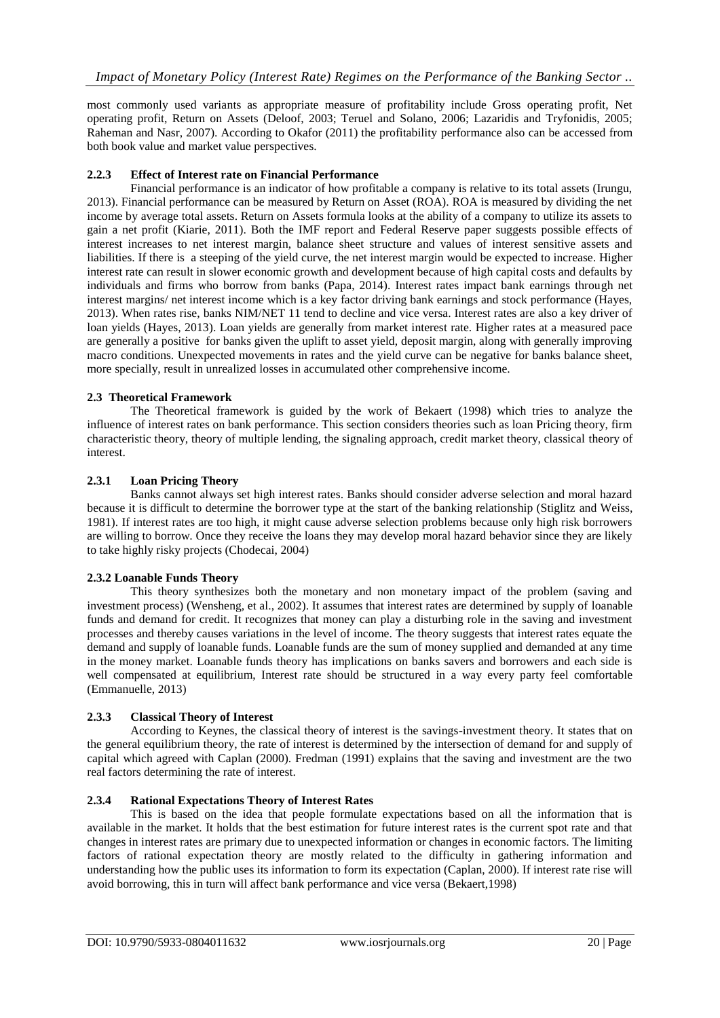most commonly used variants as appropriate measure of profitability include Gross operating profit, Net operating profit, Return on Assets (Deloof, 2003; Teruel and Solano, 2006; Lazaridis and Tryfonidis, 2005; Raheman and Nasr, 2007). According to Okafor (2011) the profitability performance also can be accessed from both book value and market value perspectives.

# **2.2.3 Effect of Interest rate on Financial Performance**

Financial performance is an indicator of how profitable a company is relative to its total assets (Irungu, 2013). Financial performance can be measured by Return on Asset (ROA). ROA is measured by dividing the net income by average total assets. Return on Assets formula looks at the ability of a company to utilize its assets to gain a net profit (Kiarie, 2011). Both the IMF report and Federal Reserve paper suggests possible effects of interest increases to net interest margin, balance sheet structure and values of interest sensitive assets and liabilities. If there is a steeping of the yield curve, the net interest margin would be expected to increase. Higher interest rate can result in slower economic growth and development because of high capital costs and defaults by individuals and firms who borrow from banks (Papa, 2014). Interest rates impact bank earnings through net interest margins/ net interest income which is a key factor driving bank earnings and stock performance (Hayes, 2013). When rates rise, banks NIM/NET 11 tend to decline and vice versa. Interest rates are also a key driver of loan yields (Hayes, 2013). Loan yields are generally from market interest rate. Higher rates at a measured pace are generally a positive for banks given the uplift to asset yield, deposit margin, along with generally improving macro conditions. Unexpected movements in rates and the yield curve can be negative for banks balance sheet, more specially, result in unrealized losses in accumulated other comprehensive income.

## **2.3 Theoretical Framework**

The Theoretical framework is guided by the work of Bekaert (1998) which tries to analyze the influence of interest rates on bank performance. This section considers theories such as loan Pricing theory, firm characteristic theory, theory of multiple lending, the signaling approach, credit market theory, classical theory of interest.

## **2.3.1 Loan Pricing Theory**

Banks cannot always set high interest rates. Banks should consider adverse selection and moral hazard because it is difficult to determine the borrower type at the start of the banking relationship (Stiglitz and Weiss, 1981). If interest rates are too high, it might cause adverse selection problems because only high risk borrowers are willing to borrow. Once they receive the loans they may develop moral hazard behavior since they are likely to take highly risky projects (Chodecai, 2004)

#### **2.3.2 Loanable Funds Theory**

This theory synthesizes both the monetary and non monetary impact of the problem (saving and investment process) (Wensheng, et al., 2002). It assumes that interest rates are determined by supply of loanable funds and demand for credit. It recognizes that money can play a disturbing role in the saving and investment processes and thereby causes variations in the level of income. The theory suggests that interest rates equate the demand and supply of loanable funds. Loanable funds are the sum of money supplied and demanded at any time in the money market. Loanable funds theory has implications on banks savers and borrowers and each side is well compensated at equilibrium, Interest rate should be structured in a way every party feel comfortable (Emmanuelle, 2013)

## **2.3.3 Classical Theory of Interest**

According to Keynes, the classical theory of interest is the savings-investment theory. It states that on the general equilibrium theory, the rate of interest is determined by the intersection of demand for and supply of capital which agreed with Caplan (2000). Fredman (1991) explains that the saving and investment are the two real factors determining the rate of interest.

#### **2.3.4 Rational Expectations Theory of Interest Rates**

This is based on the idea that people formulate expectations based on all the information that is available in the market. It holds that the best estimation for future interest rates is the current spot rate and that changes in interest rates are primary due to unexpected information or changes in economic factors. The limiting factors of rational expectation theory are mostly related to the difficulty in gathering information and understanding how the public uses its information to form its expectation (Caplan, 2000). If interest rate rise will avoid borrowing, this in turn will affect bank performance and vice versa (Bekaert,1998)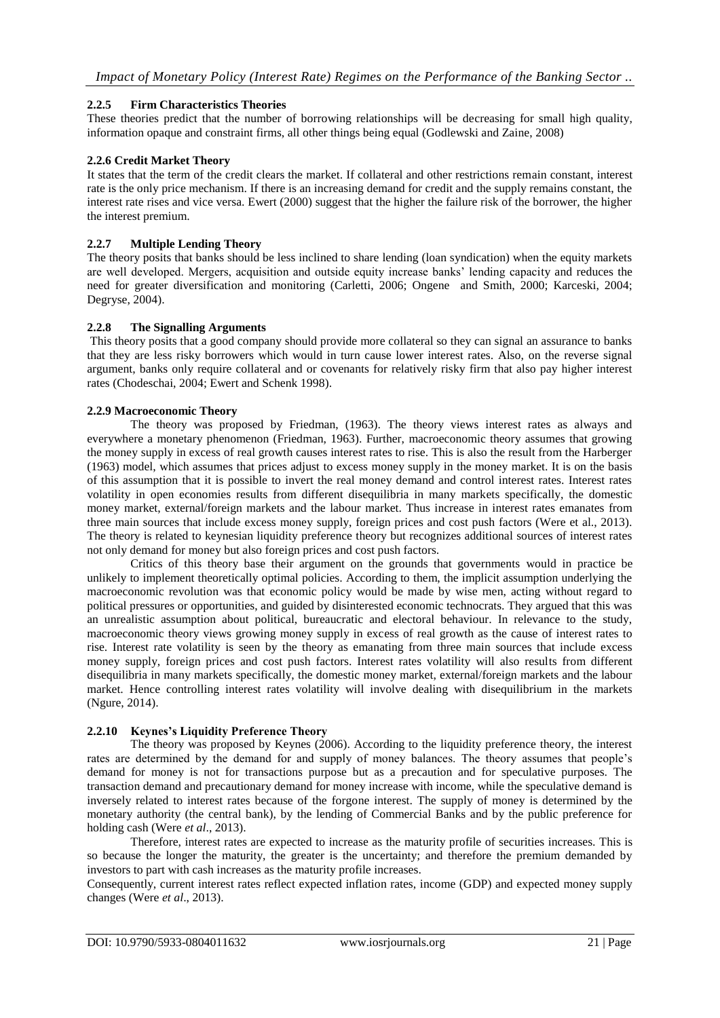## **2.2.5 Firm Characteristics Theories**

These theories predict that the number of borrowing relationships will be decreasing for small high quality, information opaque and constraint firms, all other things being equal (Godlewski and Zaine, 2008)

#### **2.2.6 Credit Market Theory**

It states that the term of the credit clears the market. If collateral and other restrictions remain constant, interest rate is the only price mechanism. If there is an increasing demand for credit and the supply remains constant, the interest rate rises and vice versa. Ewert (2000) suggest that the higher the failure risk of the borrower, the higher the interest premium.

#### **2.2.7 Multiple Lending Theory**

The theory posits that banks should be less inclined to share lending (loan syndication) when the equity markets are well developed. Mergers, acquisition and outside equity increase banks' lending capacity and reduces the need for greater diversification and monitoring (Carletti, 2006; Ongene and Smith, 2000; Karceski, 2004; Degryse, 2004).

## **2.2.8 The Signalling Arguments**

This theory posits that a good company should provide more collateral so they can signal an assurance to banks that they are less risky borrowers which would in turn cause lower interest rates. Also, on the reverse signal argument, banks only require collateral and or covenants for relatively risky firm that also pay higher interest rates (Chodeschai, 2004; Ewert and Schenk 1998).

## **2.2.9 Macroeconomic Theory**

The theory was proposed by Friedman, (1963). The theory views interest rates as always and everywhere a monetary phenomenon (Friedman, 1963). Further, macroeconomic theory assumes that growing the money supply in excess of real growth causes interest rates to rise. This is also the result from the Harberger (1963) model, which assumes that prices adjust to excess money supply in the money market. It is on the basis of this assumption that it is possible to invert the real money demand and control interest rates. Interest rates volatility in open economies results from different disequilibria in many markets specifically, the domestic money market, external/foreign markets and the labour market. Thus increase in interest rates emanates from three main sources that include excess money supply, foreign prices and cost push factors (Were et al., 2013). The theory is related to keynesian liquidity preference theory but recognizes additional sources of interest rates not only demand for money but also foreign prices and cost push factors.

Critics of this theory base their argument on the grounds that governments would in practice be unlikely to implement theoretically optimal policies. According to them, the implicit assumption underlying the macroeconomic revolution was that economic policy would be made by wise men, acting without regard to political pressures or opportunities, and guided by disinterested economic technocrats. They argued that this was an unrealistic assumption about political, bureaucratic and electoral behaviour. In relevance to the study, macroeconomic theory views growing money supply in excess of real growth as the cause of interest rates to rise. Interest rate volatility is seen by the theory as emanating from three main sources that include excess money supply, foreign prices and cost push factors. Interest rates volatility will also results from different disequilibria in many markets specifically, the domestic money market, external/foreign markets and the labour market. Hence controlling interest rates volatility will involve dealing with disequilibrium in the markets (Ngure, 2014).

#### **2.2.10 Keynes's Liquidity Preference Theory**

The theory was proposed by Keynes (2006). According to the liquidity preference theory, the interest rates are determined by the demand for and supply of money balances. The theory assumes that people's demand for money is not for transactions purpose but as a precaution and for speculative purposes. The transaction demand and precautionary demand for money increase with income, while the speculative demand is inversely related to interest rates because of the forgone interest. The supply of money is determined by the monetary authority (the central bank), by the lending of Commercial Banks and by the public preference for holding cash (Were *et al*., 2013).

Therefore, interest rates are expected to increase as the maturity profile of securities increases. This is so because the longer the maturity, the greater is the uncertainty; and therefore the premium demanded by investors to part with cash increases as the maturity profile increases.

Consequently, current interest rates reflect expected inflation rates, income (GDP) and expected money supply changes (Were *et al*., 2013).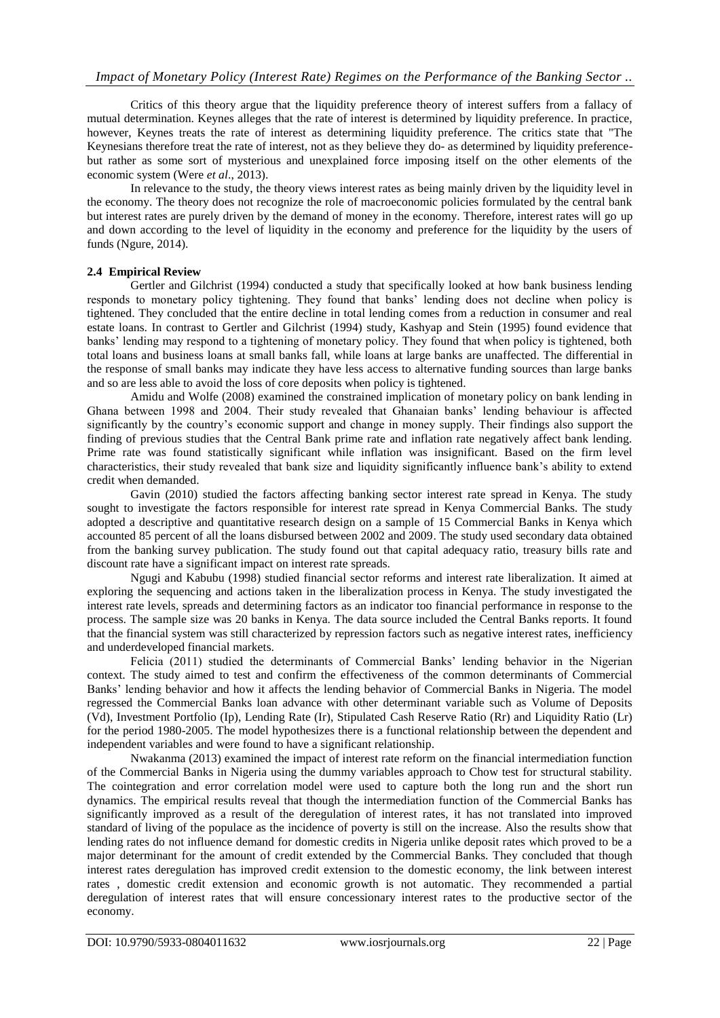Critics of this theory argue that the liquidity preference theory of interest suffers from a fallacy of mutual determination. Keynes alleges that the rate of interest is determined by liquidity preference. In practice, however, Keynes treats the rate of interest as determining liquidity preference. The critics state that "The Keynesians therefore treat the rate of interest, not as they believe they do- as determined by liquidity preferencebut rather as some sort of mysterious and unexplained force imposing itself on the other elements of the economic system (Were *et al*., 2013).

In relevance to the study, the theory views interest rates as being mainly driven by the liquidity level in the economy. The theory does not recognize the role of macroeconomic policies formulated by the central bank but interest rates are purely driven by the demand of money in the economy. Therefore, interest rates will go up and down according to the level of liquidity in the economy and preference for the liquidity by the users of funds (Ngure, 2014).

## **2.4 Empirical Review**

Gertler and Gilchrist (1994) conducted a study that specifically looked at how bank business lending responds to monetary policy tightening. They found that banks' lending does not decline when policy is tightened. They concluded that the entire decline in total lending comes from a reduction in consumer and real estate loans. In contrast to Gertler and Gilchrist (1994) study, Kashyap and Stein (1995) found evidence that banks' lending may respond to a tightening of monetary policy. They found that when policy is tightened, both total loans and business loans at small banks fall, while loans at large banks are unaffected. The differential in the response of small banks may indicate they have less access to alternative funding sources than large banks and so are less able to avoid the loss of core deposits when policy is tightened.

Amidu and Wolfe (2008) examined the constrained implication of monetary policy on bank lending in Ghana between 1998 and 2004. Their study revealed that Ghanaian banks' lending behaviour is affected significantly by the country's economic support and change in money supply. Their findings also support the finding of previous studies that the Central Bank prime rate and inflation rate negatively affect bank lending. Prime rate was found statistically significant while inflation was insignificant. Based on the firm level characteristics, their study revealed that bank size and liquidity significantly influence bank's ability to extend credit when demanded.

Gavin (2010) studied the factors affecting banking sector interest rate spread in Kenya. The study sought to investigate the factors responsible for interest rate spread in Kenya Commercial Banks. The study adopted a descriptive and quantitative research design on a sample of 15 Commercial Banks in Kenya which accounted 85 percent of all the loans disbursed between 2002 and 2009. The study used secondary data obtained from the banking survey publication. The study found out that capital adequacy ratio, treasury bills rate and discount rate have a significant impact on interest rate spreads.

Ngugi and Kabubu (1998) studied financial sector reforms and interest rate liberalization. It aimed at exploring the sequencing and actions taken in the liberalization process in Kenya. The study investigated the interest rate levels, spreads and determining factors as an indicator too financial performance in response to the process. The sample size was 20 banks in Kenya. The data source included the Central Banks reports. It found that the financial system was still characterized by repression factors such as negative interest rates, inefficiency and underdeveloped financial markets.

Felicia (2011) studied the determinants of Commercial Banks' lending behavior in the Nigerian context. The study aimed to test and confirm the effectiveness of the common determinants of Commercial Banks' lending behavior and how it affects the lending behavior of Commercial Banks in Nigeria. The model regressed the Commercial Banks loan advance with other determinant variable such as Volume of Deposits (Vd), Investment Portfolio (Ip), Lending Rate (Ir), Stipulated Cash Reserve Ratio (Rr) and Liquidity Ratio (Lr) for the period 1980-2005. The model hypothesizes there is a functional relationship between the dependent and independent variables and were found to have a significant relationship.

Nwakanma (2013) examined the impact of interest rate reform on the financial intermediation function of the Commercial Banks in Nigeria using the dummy variables approach to Chow test for structural stability. The cointegration and error correlation model were used to capture both the long run and the short run dynamics. The empirical results reveal that though the intermediation function of the Commercial Banks has significantly improved as a result of the deregulation of interest rates, it has not translated into improved standard of living of the populace as the incidence of poverty is still on the increase. Also the results show that lending rates do not influence demand for domestic credits in Nigeria unlike deposit rates which proved to be a major determinant for the amount of credit extended by the Commercial Banks. They concluded that though interest rates deregulation has improved credit extension to the domestic economy, the link between interest rates , domestic credit extension and economic growth is not automatic. They recommended a partial deregulation of interest rates that will ensure concessionary interest rates to the productive sector of the economy.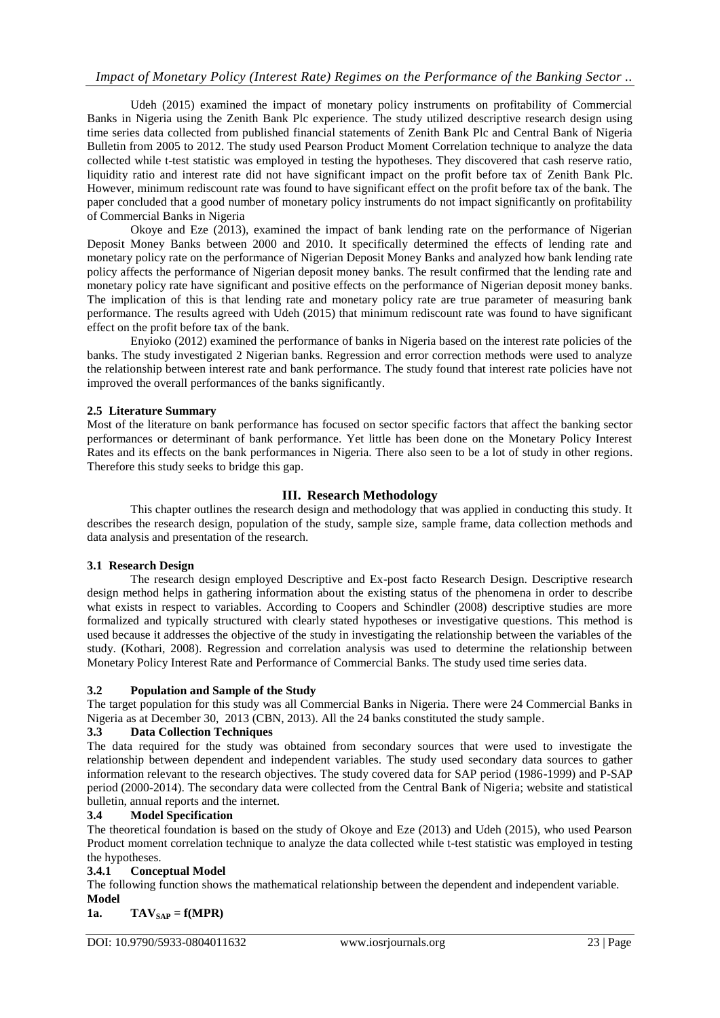# *Impact of Monetary Policy (Interest Rate) Regimes on the Performance of the Banking Sector ..*

Udeh (2015) examined the impact of monetary policy instruments on profitability of Commercial Banks in Nigeria using the Zenith Bank Plc experience. The study utilized descriptive research design using time series data collected from published financial statements of Zenith Bank Plc and Central Bank of Nigeria Bulletin from 2005 to 2012. The study used Pearson Product Moment Correlation technique to analyze the data collected while t-test statistic was employed in testing the hypotheses. They discovered that cash reserve ratio, liquidity ratio and interest rate did not have significant impact on the profit before tax of Zenith Bank Plc. However, minimum rediscount rate was found to have significant effect on the profit before tax of the bank. The paper concluded that a good number of monetary policy instruments do not impact significantly on profitability of Commercial Banks in Nigeria

Okoye and Eze (2013), examined the impact of bank lending rate on the performance of Nigerian Deposit Money Banks between 2000 and 2010. It specifically determined the effects of lending rate and monetary policy rate on the performance of Nigerian Deposit Money Banks and analyzed how bank lending rate policy affects the performance of Nigerian deposit money banks. The result confirmed that the lending rate and monetary policy rate have significant and positive effects on the performance of Nigerian deposit money banks. The implication of this is that lending rate and monetary policy rate are true parameter of measuring bank performance. The results agreed with Udeh (2015) that minimum rediscount rate was found to have significant effect on the profit before tax of the bank.

Enyioko (2012) examined the performance of banks in Nigeria based on the interest rate policies of the banks. The study investigated 2 Nigerian banks. Regression and error correction methods were used to analyze the relationship between interest rate and bank performance. The study found that interest rate policies have not improved the overall performances of the banks significantly.

## **2.5 Literature Summary**

Most of the literature on bank performance has focused on sector specific factors that affect the banking sector performances or determinant of bank performance. Yet little has been done on the Monetary Policy Interest Rates and its effects on the bank performances in Nigeria. There also seen to be a lot of study in other regions. Therefore this study seeks to bridge this gap.

## **III. Research Methodology**

This chapter outlines the research design and methodology that was applied in conducting this study. It describes the research design, population of the study, sample size, sample frame, data collection methods and data analysis and presentation of the research.

#### **3.1 Research Design**

The research design employed Descriptive and Ex-post facto Research Design. Descriptive research design method helps in gathering information about the existing status of the phenomena in order to describe what exists in respect to variables. According to Coopers and Schindler (2008) descriptive studies are more formalized and typically structured with clearly stated hypotheses or investigative questions. This method is used because it addresses the objective of the study in investigating the relationship between the variables of the study. (Kothari, 2008). Regression and correlation analysis was used to determine the relationship between Monetary Policy Interest Rate and Performance of Commercial Banks. The study used time series data.

#### **3.2 Population and Sample of the Study**

The target population for this study was all Commercial Banks in Nigeria. There were 24 Commercial Banks in Nigeria as at December 30, 2013 (CBN, 2013). All the 24 banks constituted the study sample.

#### **3.3 Data Collection Techniques**

The data required for the study was obtained from secondary sources that were used to investigate the relationship between dependent and independent variables. The study used secondary data sources to gather information relevant to the research objectives. The study covered data for SAP period (1986-1999) and P-SAP period (2000-2014). The secondary data were collected from the Central Bank of Nigeria; website and statistical bulletin, annual reports and the internet.

#### **3.4 Model Specification**

The theoretical foundation is based on the study of Okoye and Eze (2013) and Udeh (2015), who used Pearson Product moment correlation technique to analyze the data collected while t-test statistic was employed in testing the hypotheses.

## **3.4.1 Conceptual Model**

The following function shows the mathematical relationship between the dependent and independent variable. **Model** 

## 1a. **TAV**<sub>SAP</sub> =  $f(MPR)$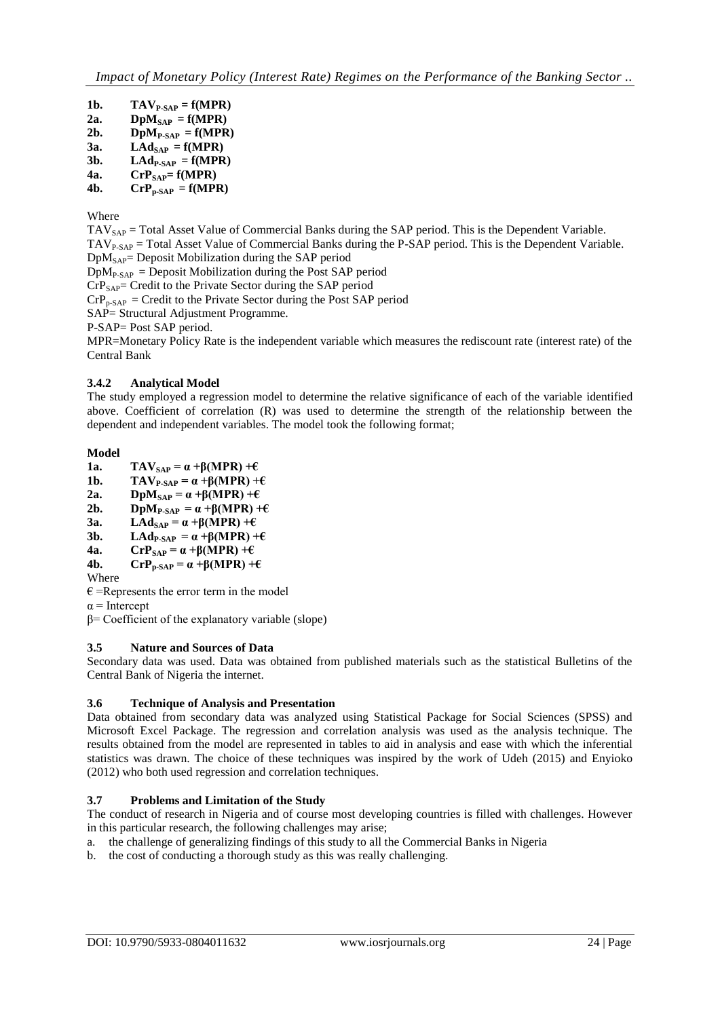- 1b. **TAV**<sub>P-SAP</sub> =  $f(MPR)$
- 2a. **DpM**<sub>SAP</sub> =  $f(MPR)$
- 2b. **DpM<sub>P-SAP</sub>** =  $f(MPR)$
- $3a.$  **LAd**<sub>SAP</sub> =  $f(MPR)$
- 3b.  $\bf{L} \bf{A} \bf{d}_{P-SAP} = \bf{f}(\bf{MPR})$
- **4a.**  $\mathbf{CrP}_{\mathbf{SAP}} = \mathbf{f}(\mathbf{MPR})$ <br>**4b.**  $\mathbf{CrP}_{\mathbf{SAP}} = \mathbf{f}(\mathbf{MPR})$  $\mathbf{CrP}_{\mathbf{p-SAP}} = \mathbf{f(MPR)}$

Where

 $TAV<sub>SAP</sub>$  = Total Asset Value of Commercial Banks during the SAP period. This is the Dependent Variable.  $TAV_{P-SAP}$  = Total Asset Value of Commercial Banks during the P-SAP period. This is the Dependent Variable.  $DpM<sub>SAP</sub>$ = Deposit Mobilization during the SAP period  $DpM_{P-SAP} =$ Deposit Mobilization during the Post SAP period  $CrP<sub>SAP</sub>=$  Credit to the Private Sector during the SAP period  $CrP<sub>p-SAP</sub> = Credit to the Private Sector during the Post SAP period$ SAP= Structural Adjustment Programme. P-SAP= Post SAP period. MPR=Monetary Policy Rate is the independent variable which measures the rediscount rate (interest rate) of the Central Bank

## **3.4.2 Analytical Model**

The study employed a regression model to determine the relative significance of each of the variable identified above. Coefficient of correlation (R) was used to determine the strength of the relationship between the dependent and independent variables. The model took the following format;

## **Model**

- **1a. TAV**<sub>SAP</sub> =  $\alpha$  + $\beta$ (MPR) + $\epsilon$
- **1b. TAV**<sub>P-SAP</sub> =  $\alpha$  + $\beta$ (MPR) + $\epsilon$
- **2a. DpM**<sub>SAP</sub> =  $\alpha$  + $\beta$ (MPR) + $\epsilon$
- **2b. DpM**<sub>P-SAP</sub> =  $\alpha$  + $\beta$ (MPR) + $\epsilon$
- **3a. LAd**<sub>SAP</sub> =  $\alpha$  +β(MPR) +€<br>**3b. LAd**<sub>P-SAP</sub> =  $\alpha$  +β(MPR) +
- **LAd**<sub>P-SAP</sub> =  $α + β(MPR) + ε$
- **4a.**  $\mathbf{CrP_{SAP}} = \alpha + \beta(MPR) + \epsilon$ <br>**4b.**  $\mathbf{CrP_{R, SAP}} = \alpha + \beta(MPR) + \epsilon$
- $\mathbf{CrP_{p-SAP}} = \alpha + \beta(\mathbf{MPR}) + \epsilon$
- Where
- $\epsilon$  =Represents the error term in the model
- $\alpha$  = Intercept
- $β= Coefficient of the explanatory variable (slope)$

## **3.5 Nature and Sources of Data**

Secondary data was used. Data was obtained from published materials such as the statistical Bulletins of the Central Bank of Nigeria the internet.

## **3.6 Technique of Analysis and Presentation**

Data obtained from secondary data was analyzed using Statistical Package for Social Sciences (SPSS) and Microsoft Excel Package. The regression and correlation analysis was used as the analysis technique. The results obtained from the model are represented in tables to aid in analysis and ease with which the inferential statistics was drawn. The choice of these techniques was inspired by the work of Udeh (2015) and Enyioko (2012) who both used regression and correlation techniques.

## **3.7 Problems and Limitation of the Study**

The conduct of research in Nigeria and of course most developing countries is filled with challenges. However in this particular research, the following challenges may arise;

a. the challenge of generalizing findings of this study to all the Commercial Banks in Nigeria

b. the cost of conducting a thorough study as this was really challenging.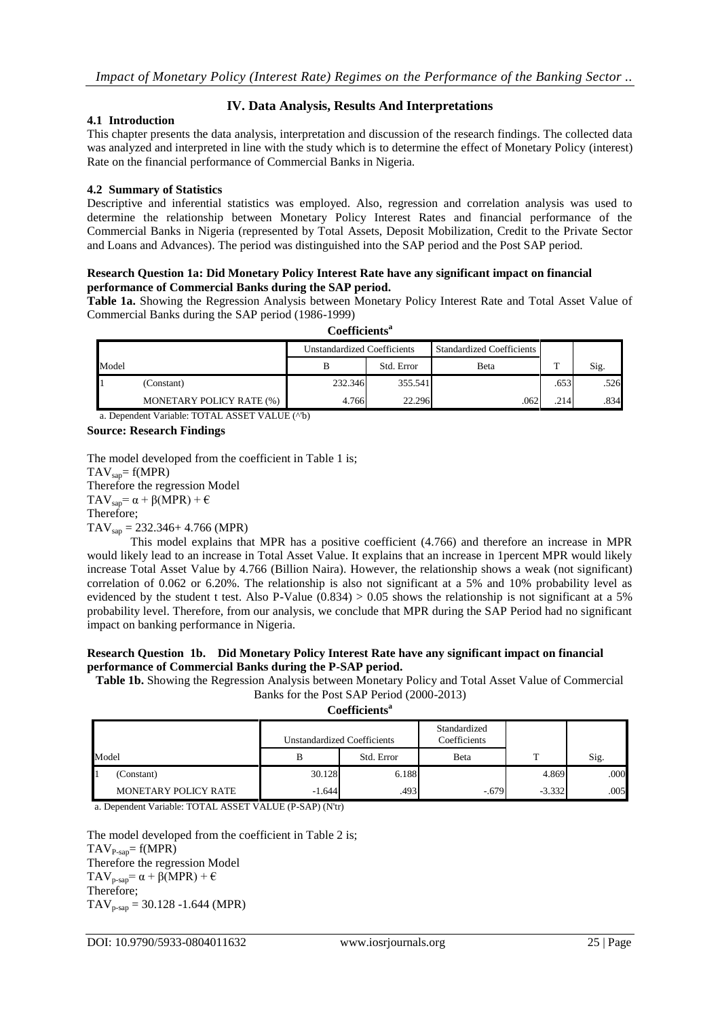## **IV. Data Analysis, Results And Interpretations**

#### **4.1 Introduction**

This chapter presents the data analysis, interpretation and discussion of the research findings. The collected data was analyzed and interpreted in line with the study which is to determine the effect of Monetary Policy (interest) Rate on the financial performance of Commercial Banks in Nigeria.

## **4.2 Summary of Statistics**

Descriptive and inferential statistics was employed. Also, regression and correlation analysis was used to determine the relationship between Monetary Policy Interest Rates and financial performance of the Commercial Banks in Nigeria (represented by Total Assets, Deposit Mobilization, Credit to the Private Sector and Loans and Advances). The period was distinguished into the SAP period and the Post SAP period.

#### **Research Question 1a: Did Monetary Policy Interest Rate have any significant impact on financial performance of Commercial Banks during the SAP period.**

**Table 1a.** Showing the Regression Analysis between Monetary Policy Interest Rate and Total Asset Value of Commercial Banks during the SAP period (1986-1999) **Coefficients<sup>a</sup>**

|            |                          | <b>Unstandardized Coefficients</b> |            | <b>Standardized Coefficients</b> |      |      |
|------------|--------------------------|------------------------------------|------------|----------------------------------|------|------|
| Model      |                          |                                    | Std. Error | Beta                             | m    | Sig. |
| (Constant) |                          | 232.346                            | 355.541    |                                  | .653 | .526 |
|            | MONETARY POLICY RATE (%) | 4.766                              | 22.296     | 062                              | .214 | .834 |

a. Dependent Variable: TOTAL ASSET VALUE (^'b)

#### **Source: Research Findings**

The model developed from the coefficient in Table 1 is;  $TAV_{san}= f(MPR)$ Therefore the regression Model TAV<sub>sap</sub>=  $\alpha$  + β(MPR) +  $\epsilon$ Therefore;  $TAV_{\text{snap}} = 232.346 + 4.766$  (MPR)

This model explains that MPR has a positive coefficient (4.766) and therefore an increase in MPR would likely lead to an increase in Total Asset Value. It explains that an increase in 1percent MPR would likely increase Total Asset Value by 4.766 (Billion Naira). However, the relationship shows a weak (not significant) correlation of 0.062 or 6.20%. The relationship is also not significant at a 5% and 10% probability level as evidenced by the student t test. Also P-Value  $(0.834) > 0.05$  shows the relationship is not significant at a 5% probability level. Therefore, from our analysis, we conclude that MPR during the SAP Period had no significant impact on banking performance in Nigeria.

#### **Research Question 1b. Did Monetary Policy Interest Rate have any significant impact on financial performance of Commercial Banks during the P-SAP period.**

**Table 1b.** Showing the Regression Analysis between Monetary Policy and Total Asset Value of Commercial Banks for the Post SAP Period (2000-2013)

**Coefficients<sup>a</sup>**

|       |                      | <b>Unstandardized Coefficients</b> |            | Standardized<br>Coefficients |          |      |  |
|-------|----------------------|------------------------------------|------------|------------------------------|----------|------|--|
| Model |                      |                                    | Std. Error | <b>B</b> eta                 | m        | Sig. |  |
|       | (Constant)           | 30.128                             | 6.188      |                              | 4.869    | .000 |  |
|       | MONETARY POLICY RATE | $-1.644$                           | .493       | $-.679$                      | $-3.332$ | .005 |  |

a. Dependent Variable: TOTAL ASSET VALUE (P-SAP) (N'tr)

The model developed from the coefficient in Table 2 is;  $TAV_{P-sap} = f(MPR)$ Therefore the regression Model TAV<sub>p-sap</sub>=  $\alpha$  +  $\beta$ (MPR) +  $\epsilon$ Therefore;  $TAV_{p-sap} = 30.128 - 1.644$  (MPR)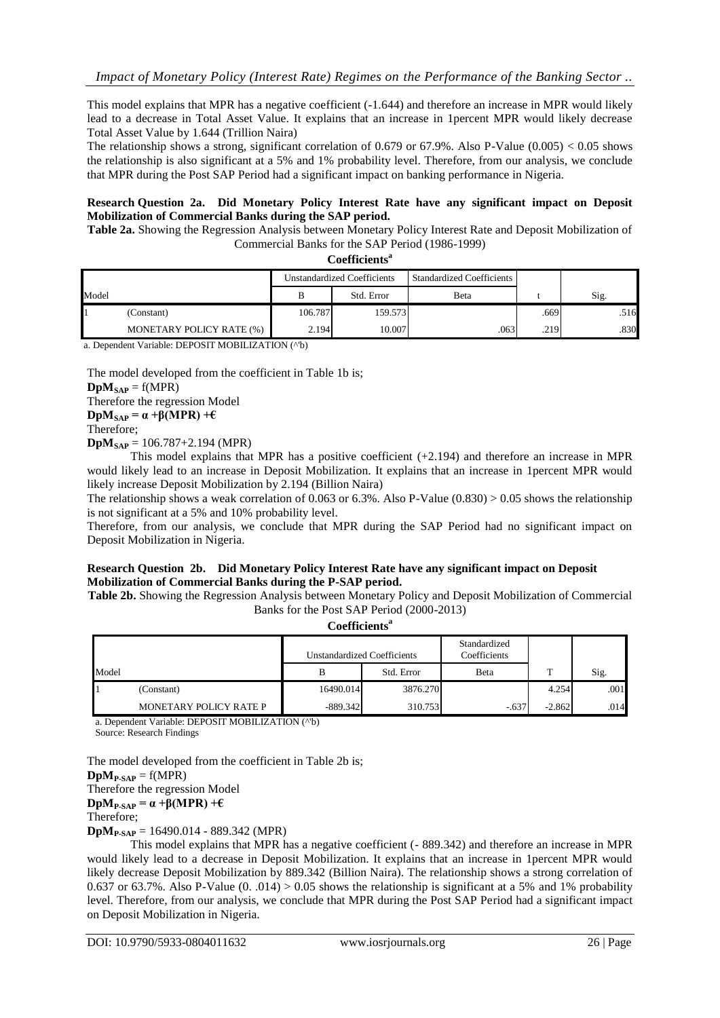This model explains that MPR has a negative coefficient (-1.644) and therefore an increase in MPR would likely lead to a decrease in Total Asset Value. It explains that an increase in 1percent MPR would likely decrease Total Asset Value by 1.644 (Trillion Naira)

The relationship shows a strong, significant correlation of 0.679 or 67.9%. Also P-Value (0.005)  $< 0.05$  shows the relationship is also significant at a 5% and 1% probability level. Therefore, from our analysis, we conclude that MPR during the Post SAP Period had a significant impact on banking performance in Nigeria.

#### **Research Question 2a. Did Monetary Policy Interest Rate have any significant impact on Deposit Mobilization of Commercial Banks during the SAP period.**

**Table 2a.** Showing the Regression Analysis between Monetary Policy Interest Rate and Deposit Mobilization of Commercial Banks for the SAP Period (1986-1999)

| Coefficients <sup>a</sup> |
|---------------------------|
|---------------------------|

|       |                          | <b>Unstandardized Coefficients</b> |            | <b>Standardized Coefficients</b> |      |      |
|-------|--------------------------|------------------------------------|------------|----------------------------------|------|------|
| Model |                          |                                    | Std. Error | Beta                             |      | Sig. |
|       | (Constant)               | 106.787                            | 159.573    |                                  | .669 | .516 |
|       | MONETARY POLICY RATE (%) | 2.194                              | 10.007     | .063                             | .219 | .830 |

a. Dependent Variable: DEPOSIT MOBILIZATION (^'b)

The model developed from the coefficient in Table 1b is;

 $DpM<sub>SAP</sub> = f(MPR)$ Therefore the regression Model **DpM**<sub>SAP</sub> =  $\alpha$  +β(MPR) + $\epsilon$ Therefore;

 $DpM<sub>SAP</sub> = 106.787 + 2.194$  (MPR)

This model explains that MPR has a positive coefficient (+2.194) and therefore an increase in MPR would likely lead to an increase in Deposit Mobilization. It explains that an increase in 1percent MPR would likely increase Deposit Mobilization by 2.194 (Billion Naira)

The relationship shows a weak correlation of 0.063 or 6.3%. Also P-Value (0.830) > 0.05 shows the relationship is not significant at a 5% and 10% probability level.

Therefore, from our analysis, we conclude that MPR during the SAP Period had no significant impact on Deposit Mobilization in Nigeria.

## **Research Question 2b. Did Monetary Policy Interest Rate have any significant impact on Deposit Mobilization of Commercial Banks during the P-SAP period.**

**Table 2b.** Showing the Regression Analysis between Monetary Policy and Deposit Mobilization of Commercial Banks for the Post SAP Period (2000-2013)

**Coefficients<sup>a</sup>**

|       |                        | Unstandardized Coefficients |            | Standardized<br>Coefficients |          |      |
|-------|------------------------|-----------------------------|------------|------------------------------|----------|------|
| Model |                        | В                           | Std. Error | Beta                         | m        | Sig. |
|       | (Constant)             | 16490.014                   | 3876.270   |                              | 4.254    | .001 |
|       | MONETARY POLICY RATE P | $-889.342$                  | 310.753    | $-.637$                      | $-2.862$ | .014 |

a. Dependent Variable: DEPOSIT MOBILIZATION (^'b)

Source: Research Findings

The model developed from the coefficient in Table 2b is;

 $DpM_{P-SAP} = f(MPR)$ 

Therefore the regression Model

**DpM**<sub>P-SAP</sub> =  $\alpha$  + $\beta$ (MPR) + $\epsilon$ 

Therefore;

**DpMP-SAP** = 16490.014 - 889.342 (MPR)

This model explains that MPR has a negative coefficient (- 889.342) and therefore an increase in MPR would likely lead to a decrease in Deposit Mobilization. It explains that an increase in 1percent MPR would likely decrease Deposit Mobilization by 889.342 (Billion Naira). The relationship shows a strong correlation of 0.637 or 63.7%. Also P-Value (0. .014) > 0.05 shows the relationship is significant at a 5% and 1% probability level. Therefore, from our analysis, we conclude that MPR during the Post SAP Period had a significant impact on Deposit Mobilization in Nigeria.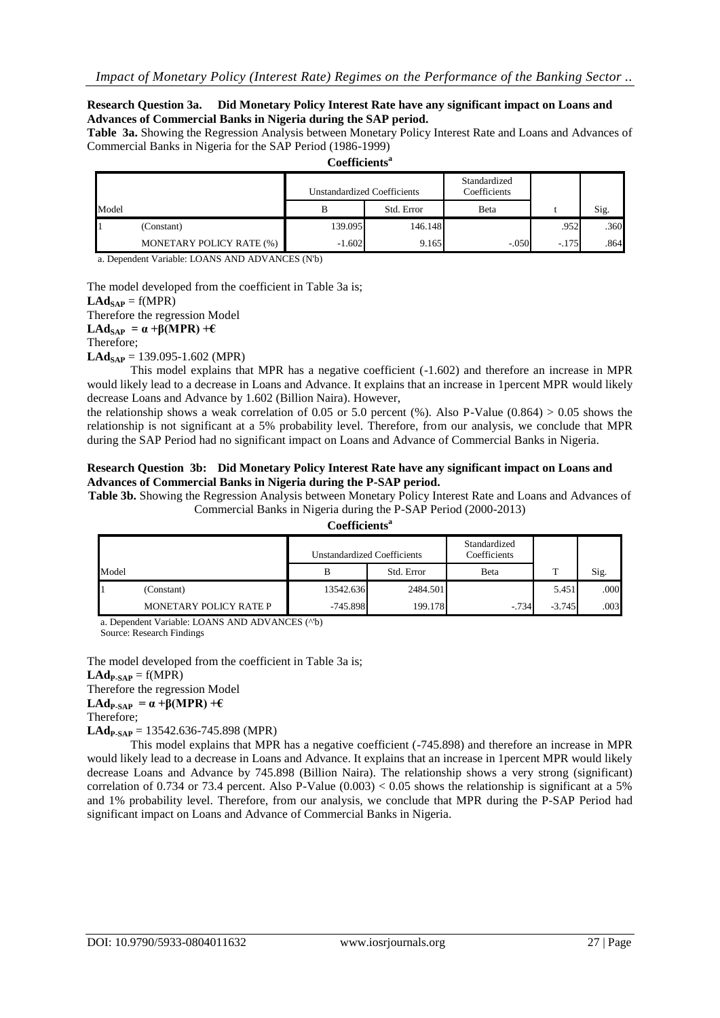#### **Research Question 3a. Did Monetary Policy Interest Rate have any significant impact on Loans and Advances of Commercial Banks in Nigeria during the SAP period.**

**Table 3a.** Showing the Regression Analysis between Monetary Policy Interest Rate and Loans and Advances of Commercial Banks in Nigeria for the SAP Period (1986-1999) **Coefficients<sup>a</sup>**

|       |                                 |          | <b>Unstandardized Coefficients</b> | Standardized<br>Coefficients |         |      |
|-------|---------------------------------|----------|------------------------------------|------------------------------|---------|------|
| Model |                                 | В        | Std. Error                         | Beta                         |         | Sig. |
|       | (Constant)                      | 139.095  | 146.148                            |                              | .952    | .360 |
|       | <b>MONETARY POLICY RATE (%)</b> | $-1.602$ | 9.165                              | $-.050$                      | $-.175$ | .864 |

a. Dependent Variable: LOANS AND ADVANCES (N'b)

The model developed from the coefficient in Table 3a is;

 $LAd_{SAP} = f(MPR)$ Therefore the regression Model **LAd**<sub>SAP</sub> =  $\alpha$  +β(MPR) +€ Therefore;

 $LAd<sub>SAP</sub> = 139.095-1.602 (MPR)$ 

This model explains that MPR has a negative coefficient (-1.602) and therefore an increase in MPR would likely lead to a decrease in Loans and Advance. It explains that an increase in 1percent MPR would likely decrease Loans and Advance by 1.602 (Billion Naira). However,

the relationship shows a weak correlation of 0.05 or 5.0 percent (%). Also P-Value  $(0.864) > 0.05$  shows the relationship is not significant at a 5% probability level. Therefore, from our analysis, we conclude that MPR during the SAP Period had no significant impact on Loans and Advance of Commercial Banks in Nigeria.

#### **Research Question 3b: Did Monetary Policy Interest Rate have any significant impact on Loans and Advances of Commercial Banks in Nigeria during the P-SAP period.**

**Table 3b.** Showing the Regression Analysis between Monetary Policy Interest Rate and Loans and Advances of Commercial Banks in Nigeria during the P-SAP Period (2000-2013)

#### **Coefficients<sup>a</sup>**

|       |                        | <b>Unstandardized Coefficients</b> |            | Standardized<br>Coefficients |          |      |
|-------|------------------------|------------------------------------|------------|------------------------------|----------|------|
| Model |                        |                                    | Std. Error | Beta                         |          | Sig. |
|       | (Constant)             | 13542.636                          | 2484.501   |                              | 5.451    | .000 |
|       | MONETARY POLICY RATE P | $-745.898$                         | 199.178    | $-734$                       | $-3.745$ | .003 |

a. Dependent Variable: LOANS AND ADVANCES (^'b)

Source: Research Findings

The model developed from the coefficient in Table 3a is;  $LAd_{P-SAP} = f(MPR)$ Therefore the regression Model **LAd**<sub>P-SAP</sub> =  $\alpha$  +β(MPR) +€ Therefore; **LAdP-SAP** = 13542.636-745.898 (MPR)

This model explains that MPR has a negative coefficient (-745.898) and therefore an increase in MPR would likely lead to a decrease in Loans and Advance. It explains that an increase in 1percent MPR would likely decrease Loans and Advance by 745.898 (Billion Naira). The relationship shows a very strong (significant) correlation of 0.734 or 73.4 percent. Also P-Value  $(0.003) < 0.05$  shows the relationship is significant at a 5% and 1% probability level. Therefore, from our analysis, we conclude that MPR during the P-SAP Period had significant impact on Loans and Advance of Commercial Banks in Nigeria.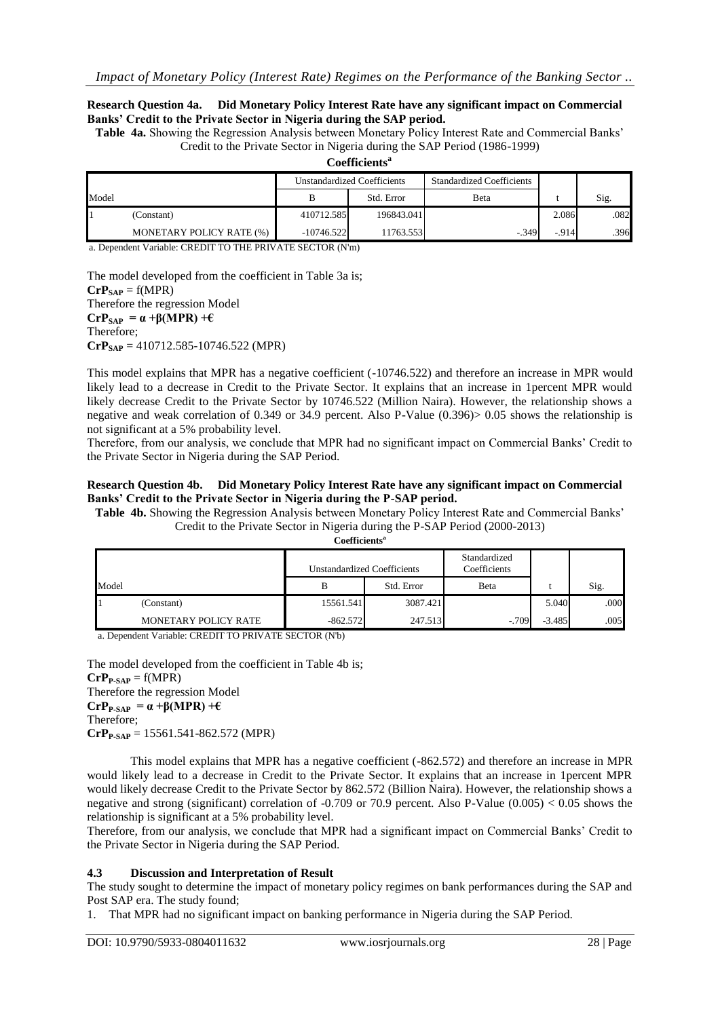#### **Research Question 4a. Did Monetary Policy Interest Rate have any significant impact on Commercial Banks' Credit to the Private Sector in Nigeria during the SAP period.**

**Table 4a.** Showing the Regression Analysis between Monetary Policy Interest Rate and Commercial Banks' Credit to the Private Sector in Nigeria during the SAP Period (1986-1999)

| Coefficients <sup>a</sup> |
|---------------------------|
|---------------------------|

|       |                          | <b>Unstandardized Coefficients</b> |            | <b>Standardized Coefficients</b> |        |      |
|-------|--------------------------|------------------------------------|------------|----------------------------------|--------|------|
| Model |                          |                                    | Std. Error | Beta                             |        | Sig. |
|       | (Constant)               | 410712.585                         | 196843.041 |                                  | 2.086  | .082 |
|       | MONETARY POLICY RATE (%) | $-10746.522$                       | 11763.553  | $-349$                           | $-914$ | .396 |

a. Dependent Variable: CREDIT TO THE PRIVATE SECTOR (N'm)

The model developed from the coefficient in Table 3a is;  $CrP<sub>SAP</sub> = f(MPR)$ Therefore the regression Model  $\mathbf{CrP_{SAP}} = \alpha + \beta(\mathbf{MPR}) + \epsilon$ Therefore; **CrPSAP** = 410712.585-10746.522 (MPR)

This model explains that MPR has a negative coefficient (-10746.522) and therefore an increase in MPR would likely lead to a decrease in Credit to the Private Sector. It explains that an increase in 1percent MPR would likely decrease Credit to the Private Sector by 10746.522 (Million Naira). However, the relationship shows a negative and weak correlation of 0.349 or 34.9 percent. Also P-Value (0.396)> 0.05 shows the relationship is not significant at a 5% probability level.

Therefore, from our analysis, we conclude that MPR had no significant impact on Commercial Banks' Credit to the Private Sector in Nigeria during the SAP Period.

#### **Research Question 4b. Did Monetary Policy Interest Rate have any significant impact on Commercial Banks' Credit to the Private Sector in Nigeria during the P-SAP period.**

**Table 4b.** Showing the Regression Analysis between Monetary Policy Interest Rate and Commercial Banks' Credit to the Private Sector in Nigeria during the P-SAP Period (2000-2013)

**Coefficients<sup>a</sup>**

|       |                      | <b>Unstandardized Coefficients</b> |            | Standardized<br>Coefficients |          |      |
|-------|----------------------|------------------------------------|------------|------------------------------|----------|------|
| Model |                      | В                                  | Std. Error | Beta                         |          | Sig. |
|       | (Constant)           | 15561.541                          | 3087.421   |                              | 5.040    | .000 |
|       | MONETARY POLICY RATE | $-862.572$                         | 247.513    | $-.709$                      | $-3.485$ | .005 |

a. Dependent Variable: CREDIT TO PRIVATE SECTOR (N'b)

The model developed from the coefficient in Table 4b is;  $\mathbf{C}\mathbf{r}\mathbf{P}_{\mathbf{P-SAP}} = f(MPR)$ Therefore the regression Model  $CrP_{P-SAP} = \alpha + \beta(MPR) + \epsilon$ Therefore; **CrPP-SAP** = 15561.541-862.572 (MPR)

This model explains that MPR has a negative coefficient (-862.572) and therefore an increase in MPR would likely lead to a decrease in Credit to the Private Sector. It explains that an increase in 1percent MPR would likely decrease Credit to the Private Sector by 862.572 (Billion Naira). However, the relationship shows a negative and strong (significant) correlation of -0.709 or 70.9 percent. Also P-Value (0.005) < 0.05 shows the relationship is significant at a 5% probability level.

Therefore, from our analysis, we conclude that MPR had a significant impact on Commercial Banks' Credit to the Private Sector in Nigeria during the SAP Period.

#### **4.3 Discussion and Interpretation of Result**

The study sought to determine the impact of monetary policy regimes on bank performances during the SAP and Post SAP era. The study found;

1. That MPR had no significant impact on banking performance in Nigeria during the SAP Period.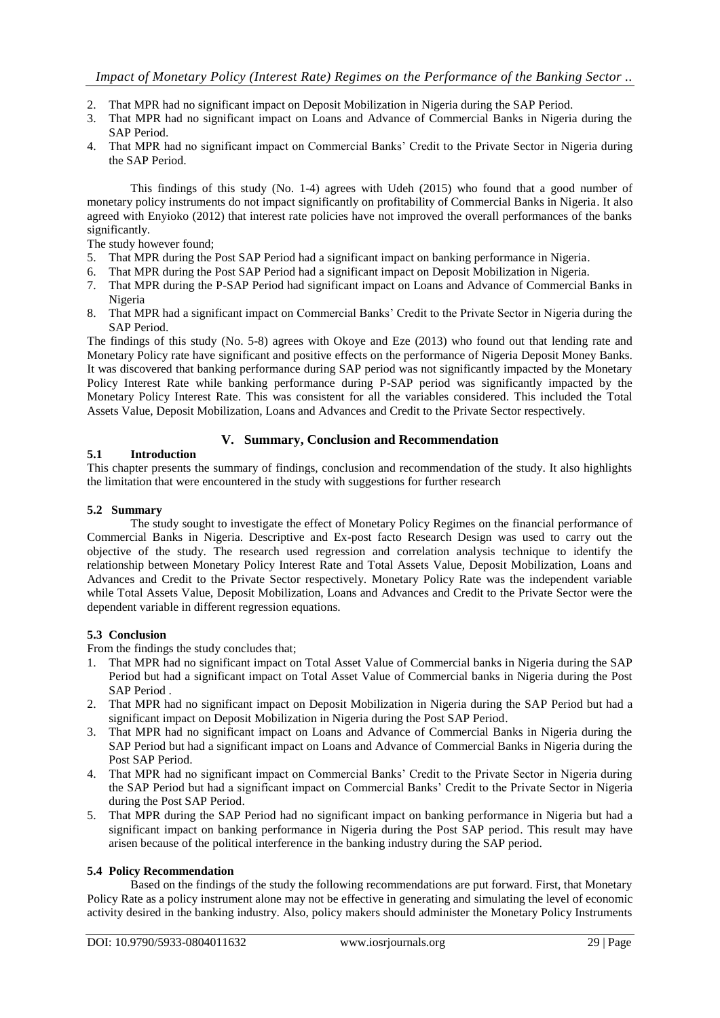- 2. That MPR had no significant impact on Deposit Mobilization in Nigeria during the SAP Period.
- 3. That MPR had no significant impact on Loans and Advance of Commercial Banks in Nigeria during the SAP Period.
- 4. That MPR had no significant impact on Commercial Banks' Credit to the Private Sector in Nigeria during the SAP Period.

This findings of this study (No. 1-4) agrees with Udeh (2015) who found that a good number of monetary policy instruments do not impact significantly on profitability of Commercial Banks in Nigeria. It also agreed with Enyioko (2012) that interest rate policies have not improved the overall performances of the banks significantly.

The study however found;

- 5. That MPR during the Post SAP Period had a significant impact on banking performance in Nigeria.
- 6. That MPR during the Post SAP Period had a significant impact on Deposit Mobilization in Nigeria.
- 7. That MPR during the P-SAP Period had significant impact on Loans and Advance of Commercial Banks in Nigeria
- 8. That MPR had a significant impact on Commercial Banks' Credit to the Private Sector in Nigeria during the SAP Period.

The findings of this study (No. 5-8) agrees with Okoye and Eze (2013) who found out that lending rate and Monetary Policy rate have significant and positive effects on the performance of Nigeria Deposit Money Banks. It was discovered that banking performance during SAP period was not significantly impacted by the Monetary Policy Interest Rate while banking performance during P-SAP period was significantly impacted by the Monetary Policy Interest Rate. This was consistent for all the variables considered. This included the Total Assets Value, Deposit Mobilization, Loans and Advances and Credit to the Private Sector respectively.

## **V. Summary, Conclusion and Recommendation**

#### **5.1 Introduction**

This chapter presents the summary of findings, conclusion and recommendation of the study. It also highlights the limitation that were encountered in the study with suggestions for further research

#### **5.2 Summary**

The study sought to investigate the effect of Monetary Policy Regimes on the financial performance of Commercial Banks in Nigeria. Descriptive and Ex-post facto Research Design was used to carry out the objective of the study. The research used regression and correlation analysis technique to identify the relationship between Monetary Policy Interest Rate and Total Assets Value, Deposit Mobilization, Loans and Advances and Credit to the Private Sector respectively. Monetary Policy Rate was the independent variable while Total Assets Value, Deposit Mobilization, Loans and Advances and Credit to the Private Sector were the dependent variable in different regression equations.

#### **5.3 Conclusion**

From the findings the study concludes that;

- 1. That MPR had no significant impact on Total Asset Value of Commercial banks in Nigeria during the SAP Period but had a significant impact on Total Asset Value of Commercial banks in Nigeria during the Post SAP Period .
- 2. That MPR had no significant impact on Deposit Mobilization in Nigeria during the SAP Period but had a significant impact on Deposit Mobilization in Nigeria during the Post SAP Period.
- 3. That MPR had no significant impact on Loans and Advance of Commercial Banks in Nigeria during the SAP Period but had a significant impact on Loans and Advance of Commercial Banks in Nigeria during the Post SAP Period.
- 4. That MPR had no significant impact on Commercial Banks' Credit to the Private Sector in Nigeria during the SAP Period but had a significant impact on Commercial Banks' Credit to the Private Sector in Nigeria during the Post SAP Period.
- 5. That MPR during the SAP Period had no significant impact on banking performance in Nigeria but had a significant impact on banking performance in Nigeria during the Post SAP period. This result may have arisen because of the political interference in the banking industry during the SAP period.

#### **5.4 Policy Recommendation**

Based on the findings of the study the following recommendations are put forward. First, that Monetary Policy Rate as a policy instrument alone may not be effective in generating and simulating the level of economic activity desired in the banking industry. Also, policy makers should administer the Monetary Policy Instruments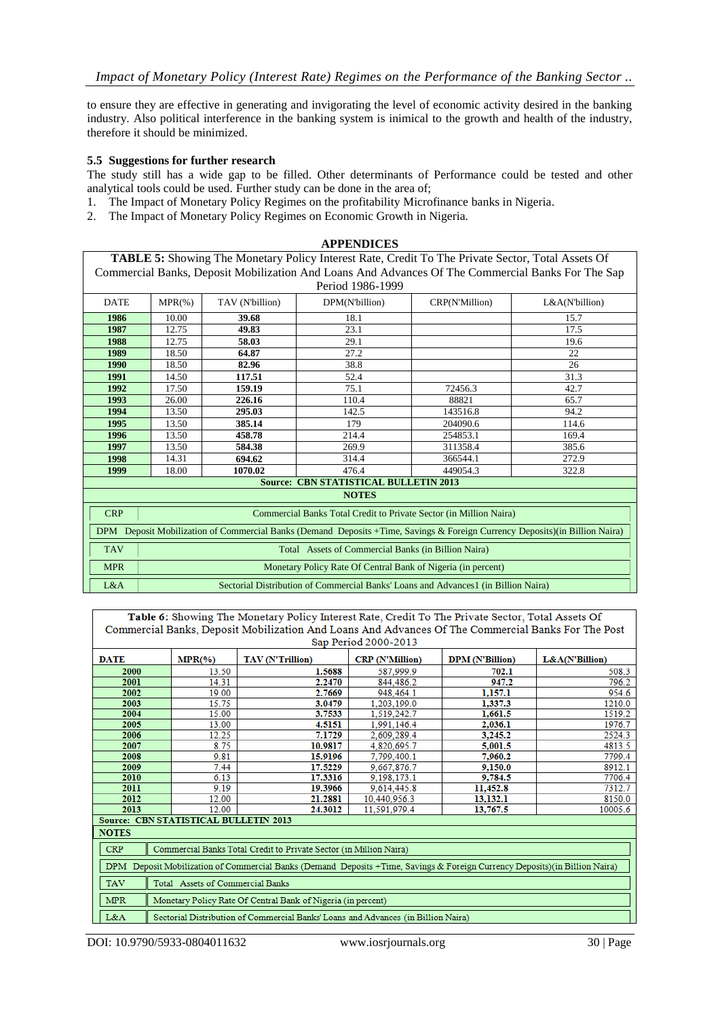to ensure they are effective in generating and invigorating the level of economic activity desired in the banking industry. Also political interference in the banking system is inimical to the growth and health of the industry, therefore it should be minimized.

## **5.5 Suggestions for further research**

The study still has a wide gap to be filled. Other determinants of Performance could be tested and other analytical tools could be used. Further study can be done in the area of;

- 1. The Impact of Monetary Policy Regimes on the profitability Microfinance banks in Nigeria.
- 2. The Impact of Monetary Policy Regimes on Economic Growth in Nigeria.

| <b>APPENDICES</b>                                                                                        |                                                                                                   |                 |                                                                                                                              |                |                |  |  |  |  |
|----------------------------------------------------------------------------------------------------------|---------------------------------------------------------------------------------------------------|-----------------|------------------------------------------------------------------------------------------------------------------------------|----------------|----------------|--|--|--|--|
| <b>TABLE 5:</b> Showing The Monetary Policy Interest Rate, Credit To The Private Sector, Total Assets Of |                                                                                                   |                 |                                                                                                                              |                |                |  |  |  |  |
|                                                                                                          | Commercial Banks, Deposit Mobilization And Loans And Advances Of The Commercial Banks For The Sap |                 |                                                                                                                              |                |                |  |  |  |  |
|                                                                                                          | Period 1986-1999                                                                                  |                 |                                                                                                                              |                |                |  |  |  |  |
| <b>DATE</b>                                                                                              | $MPR(\% )$                                                                                        | TAV (N'billion) | DPM(N'billion)                                                                                                               | CRP(N'Million) | L&A(N'billion) |  |  |  |  |
| 1986                                                                                                     | 10.00                                                                                             | 39.68           | 18.1                                                                                                                         |                | 15.7           |  |  |  |  |
| 1987                                                                                                     | 12.75                                                                                             | 49.83           | 23.1                                                                                                                         |                | 17.5           |  |  |  |  |
| 1988                                                                                                     | 12.75                                                                                             | 58.03           | 29.1                                                                                                                         |                | 19.6           |  |  |  |  |
| 1989                                                                                                     | 18.50                                                                                             | 64.87           | 27.2                                                                                                                         |                | 22             |  |  |  |  |
| 1990                                                                                                     | 18.50                                                                                             | 82.96           | 38.8                                                                                                                         |                | 26             |  |  |  |  |
| 1991                                                                                                     | 14.50                                                                                             | 117.51          | 52.4                                                                                                                         |                | 31.3           |  |  |  |  |
| 1992                                                                                                     | 17.50                                                                                             | 159.19          | 75.1                                                                                                                         | 72456.3        | 42.7           |  |  |  |  |
| 1993                                                                                                     | 26.00                                                                                             | 226.16          | 110.4                                                                                                                        | 88821          | 65.7           |  |  |  |  |
| 1994                                                                                                     | 13.50                                                                                             | 295.03          | 142.5                                                                                                                        | 143516.8       | 94.2           |  |  |  |  |
| 1995                                                                                                     | 13.50                                                                                             | 385.14          | 179                                                                                                                          | 204090.6       | 114.6          |  |  |  |  |
| 1996                                                                                                     | 13.50                                                                                             | 458.78          | 214.4                                                                                                                        | 254853.1       | 169.4          |  |  |  |  |
| 1997                                                                                                     | 13.50                                                                                             | 584.38          | 269.9                                                                                                                        | 311358.4       | 385.6          |  |  |  |  |
| 1998                                                                                                     | 14.31                                                                                             | 694.62          | 314.4                                                                                                                        | 366544.1       | 272.9          |  |  |  |  |
| 1999                                                                                                     | 18.00                                                                                             | 1070.02         | 476.4                                                                                                                        | 449054.3       | 322.8          |  |  |  |  |
|                                                                                                          |                                                                                                   |                 | <b>Source: CBN STATISTICAL BULLETIN 2013</b>                                                                                 |                |                |  |  |  |  |
|                                                                                                          |                                                                                                   |                 | <b>NOTES</b>                                                                                                                 |                |                |  |  |  |  |
| <b>CRP</b>                                                                                               |                                                                                                   |                 | Commercial Banks Total Credit to Private Sector (in Million Naira)                                                           |                |                |  |  |  |  |
|                                                                                                          |                                                                                                   |                 | DPM Deposit Mobilization of Commercial Banks (Demand Deposits +Time, Savings & Foreign Currency Deposits) (in Billion Naira) |                |                |  |  |  |  |
| <b>TAV</b>                                                                                               |                                                                                                   |                 | Total Assets of Commercial Banks (in Billion Naira)                                                                          |                |                |  |  |  |  |
| <b>MPR</b>                                                                                               |                                                                                                   |                 | Monetary Policy Rate Of Central Bank of Nigeria (in percent)                                                                 |                |                |  |  |  |  |
| L&A                                                                                                      |                                                                                                   |                 |                                                                                                                              |                |                |  |  |  |  |
|                                                                                                          | Sectorial Distribution of Commercial Banks' Loans and Advances1 (in Billion Naira)                |                 |                                                                                                                              |                |                |  |  |  |  |

| Table 6: Showing The Monetary Policy Interest Rate, Credit To The Private Sector, Total Assets Of<br>Commercial Banks, Deposit Mobilization And Loans And Advances Of The Commercial Banks For The Post<br>Sap Period 2000-2013 |                                                                                                                              |                                                                                   |              |          |         |  |  |  |  |  |
|---------------------------------------------------------------------------------------------------------------------------------------------------------------------------------------------------------------------------------|------------------------------------------------------------------------------------------------------------------------------|-----------------------------------------------------------------------------------|--------------|----------|---------|--|--|--|--|--|
| <b>DATE</b>                                                                                                                                                                                                                     | $MPR(\%)$<br><b>TAV</b> (N'Trillion)<br><b>CRP</b> (N'Million)<br>L&A(N'Billion)<br><b>DPM</b> (N'Billion)                   |                                                                                   |              |          |         |  |  |  |  |  |
| 2000                                                                                                                                                                                                                            | 13.50                                                                                                                        | 1.5688                                                                            | 587.999.9    | 702.1    | 508.3   |  |  |  |  |  |
| 2001                                                                                                                                                                                                                            | 14.31                                                                                                                        | 2.2470                                                                            | 844,486.2    | 947.2    | 796.2   |  |  |  |  |  |
| 2002                                                                                                                                                                                                                            | 19.00                                                                                                                        | 2.7669                                                                            | 948,464.1    | 1,157.1  | 954.6   |  |  |  |  |  |
| 2003                                                                                                                                                                                                                            | 15.75                                                                                                                        | 3.0479                                                                            | 1.203.199.0  | 1,337.3  | 1210.0  |  |  |  |  |  |
| 2004                                                                                                                                                                                                                            | 15.00                                                                                                                        | 3.7533                                                                            | 1,519,242.7  | 1,661.5  | 1519.2  |  |  |  |  |  |
| 2005                                                                                                                                                                                                                            | 13.00                                                                                                                        | 4.5151                                                                            | 1,991,146.4  | 2,036.1  | 1976.7  |  |  |  |  |  |
| 2006                                                                                                                                                                                                                            | 12.25                                                                                                                        | 7.1729                                                                            | 2,609,289.4  | 3,245.2  | 2524.3  |  |  |  |  |  |
| 2007                                                                                                                                                                                                                            | 8.75                                                                                                                         | 10.9817                                                                           | 4,820,695.7  | 5,001.5  | 4813.5  |  |  |  |  |  |
| 2008                                                                                                                                                                                                                            | 9.81                                                                                                                         | 15.9196                                                                           | 7,799,400.1  | 7,960.2  | 7799.4  |  |  |  |  |  |
| 2009                                                                                                                                                                                                                            | 7.44                                                                                                                         | 17.5229                                                                           | 9,667,876.7  | 9,150.0  | 8912.1  |  |  |  |  |  |
| 2010                                                                                                                                                                                                                            | 6.13                                                                                                                         | 17.3316                                                                           | 9,198,173.1  | 9,784.5  | 7706.4  |  |  |  |  |  |
| 2011                                                                                                                                                                                                                            | 9.19                                                                                                                         | 19.3966                                                                           | 9,614,445.8  | 11,452.8 | 7312.7  |  |  |  |  |  |
| 2012                                                                                                                                                                                                                            | 12.00                                                                                                                        | 21.2881                                                                           | 10,440,956.3 | 13,132.1 | 8150.0  |  |  |  |  |  |
| 2013                                                                                                                                                                                                                            | 12.00                                                                                                                        | 24.3012                                                                           | 11,591,979.4 | 13,767.5 | 10005.6 |  |  |  |  |  |
|                                                                                                                                                                                                                                 | Source: CBN STATISTICAL BULLETIN 2013                                                                                        |                                                                                   |              |          |         |  |  |  |  |  |
| <b>NOTES</b>                                                                                                                                                                                                                    |                                                                                                                              |                                                                                   |              |          |         |  |  |  |  |  |
| <b>CRP</b>                                                                                                                                                                                                                      |                                                                                                                              | Commercial Banks Total Credit to Private Sector (in Million Naira)                |              |          |         |  |  |  |  |  |
|                                                                                                                                                                                                                                 |                                                                                                                              |                                                                                   |              |          |         |  |  |  |  |  |
|                                                                                                                                                                                                                                 | DPM Deposit Mobilization of Commercial Banks (Demand Deposits +Time, Savings & Foreign Currency Deposits) (in Billion Naira) |                                                                                   |              |          |         |  |  |  |  |  |
| <b>TAV</b>                                                                                                                                                                                                                      | Total Assets of Commercial Banks                                                                                             |                                                                                   |              |          |         |  |  |  |  |  |
| <b>MPR</b>                                                                                                                                                                                                                      |                                                                                                                              | Monetary Policy Rate Of Central Bank of Nigeria (in percent)                      |              |          |         |  |  |  |  |  |
| L&A                                                                                                                                                                                                                             |                                                                                                                              | Sectorial Distribution of Commercial Banks' Loans and Advances (in Billion Naira) |              |          |         |  |  |  |  |  |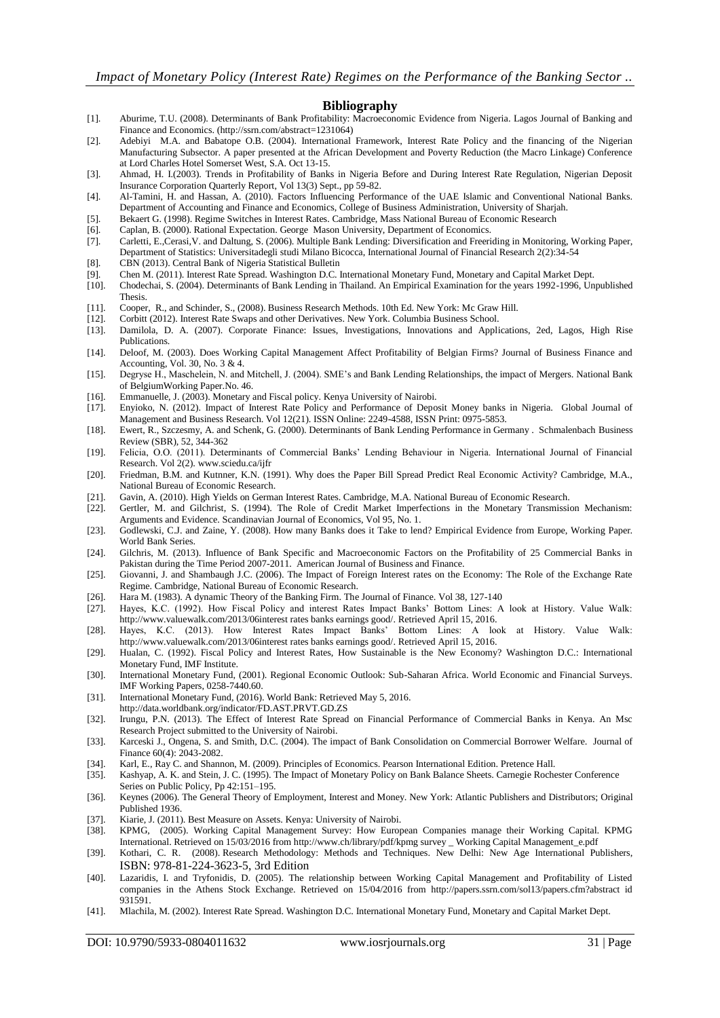#### **Bibliography**

- [1]. Aburime, T.U. (2008). Determinants of Bank Profitability: Macroeconomic Evidence from Nigeria. Lagos Journal of Banking and Finance and Economics. [\(http://ssrn.com/abstract=1231064\)](http://ssrn.com/abstract=1231064)
- [2]. Adebiyi M.A. and Babatope O.B. (2004). International Framework, Interest Rate Policy and the financing of the Nigerian Manufacturing Subsector. A paper presented at the African Development and Poverty Reduction (the Macro Linkage) Conference at Lord Charles Hotel Somerset West, S.A. Oct 13-15.
- [3]. Ahmad, H. I.(2003). Trends in Profitability of Banks in Nigeria Before and During Interest Rate Regulation, Nigerian Deposit Insurance Corporation Quarterly Report, Vol 13(3) Sept., pp 59-82.
- [4]. Al-Tamini, H. and Hassan, A. (2010). Factors Influencing Performance of the UAE Islamic and Conventional National Banks. Department of Accounting and Finance and Economics, College of Business Administration, University of Sharjah.
- [5]. Bekaert G. (1998). Regime Switches in Interest Rates. Cambridge, Mass National Bureau of Economic Research
- [6]. Caplan, B. (2000). Rational Expectation. George Mason University, Department of Economics.
- [7]. Carletti, E.,Cerasi,V. and Daltung, S. (2006). Multiple Bank Lending: Diversification and Freeriding in Monitoring, Working Paper, Department of Statistics: Universitadegli studi Milano Bicocca, International Journal of Financial Research 2(2):34-54
- [8]. CBN (2013). Central Bank of Nigeria Statistical Bulletin
- [9]. Chen M. (2011). Interest Rate Spread. Washington D.C. International Monetary Fund, Monetary and Capital Market Dept.
- [10]. Chodechai, S. (2004). Determinants of Bank Lending in Thailand. An Empirical Examination for the years 1992-1996, Unpublished Thesis.
- [11]. Cooper, R., and Schinder, S., (2008). Business Research Methods. 10th Ed. New York: Mc Graw Hill.
- [12]. Corbitt (2012). Interest Rate Swaps and other Derivatives. New York. Columbia Business School.
- [13]. Damilola, D. A. (2007). Corporate Finance: Issues, Investigations, Innovations and Applications, 2ed, Lagos, High Rise Publications.
- [14]. Deloof, M. (2003). Does Working Capital Management Affect Profitability of Belgian Firms? Journal of Business Finance and Accounting, Vol. 30, No. 3 & 4.
- [15]. Degryse H., Maschelein, N. and Mitchell, J. (2004). SME's and Bank Lending Relationships, the impact of Mergers. National Bank of BelgiumWorking Paper.No. 46.
- [16]. Emmanuelle, J. (2003). Monetary and Fiscal policy. Kenya University of Nairobi.
- [17]. Enyioko, N. (2012). Impact of Interest Rate Policy and Performance of Deposit Money banks in Nigeria. Global Journal of Management and Business Research. Vol 12(21). ISSN Online: 2249-4588, ISSN Print: 0975-5853.
- [18]. Ewert, R., Szczesmy, A. and Schenk, G. (2000). Determinants of Bank Lending Performance in Germany . Schmalenbach Business Review (SBR), 52, 344-362
- [19]. Felicia, O.O. (2011). Determinants of Commercial Banks' Lending Behaviour in Nigeria. International Journal of Financial Research. Vol 2(2)[. www.sciedu.ca/ijfr](http://www.sciedu.ca/ijfr)
- [20]. Friedman, B.M. and Kutnner, K.N. (1991). Why does the Paper Bill Spread Predict Real Economic Activity? Cambridge, M.A., National Bureau of Economic Research.
- [21]. Gavin, A. (2010). High Yields on German Interest Rates. Cambridge, M.A. National Bureau of Economic Research.
- [22]. Gertler, M. and Gilchrist, S. (1994). The Role of Credit Market Imperfections in the Monetary Transmission Mechanism: Arguments and Evidence. Scandinavian Journal of Economics, Vol 95, No. 1.
- [23]. Godlewski, C.J. and Zaine, Y. (2008). How many Banks does it Take to lend? Empirical Evidence from Europe, Working Paper. World Bank Series.
- [24]. Gilchris, M. (2013). Influence of Bank Specific and Macroeconomic Factors on the Profitability of 25 Commercial Banks in Pakistan during the Time Period 2007-2011. American Journal of Business and Finance.
- [25]. Giovanni, J. and Shambaugh J.C. (2006). The Impact of Foreign Interest rates on the Economy: The Role of the Exchange Rate Regime. Cambridge, National Bureau of Economic Research.
- [26]. Hara M. (1983). A dynamic Theory of the Banking Firm. The Journal of Finance. Vol 38, 127-140
- [27]. Hayes, K.C. (1992). How Fiscal Policy and interest Rates Impact Banks' Bottom Lines: A look at History. Value Walk: [http://www.valuewalk.com/2013/06interest rates banks earnings good/.](http://www.valuewalk.com/2013/06interest%20rates%20banks%20earnings%20good/) Retrieved April 15, 2016.
- [28]. Hayes, K.C. (2013). How Interest Rates Impact Banks' Bottom Lines: A look at History. Value Walk: [http://www.valuewalk.com/2013/06interest rates banks earnings good/.](http://www.valuewalk.com/2013/06interest%20rates%20banks%20earnings%20good/) Retrieved April 15, 2016.
- [29]. Hualan, C. (1992). Fiscal Policy and Interest Rates, How Sustainable is the New Economy? Washington D.C.: International Monetary Fund, IMF Institute.
- [30]. International Monetary Fund, (2001). Regional Economic Outlook: Sub-Saharan Africa. World Economic and Financial Surveys. IMF Working Papers, 0258-7440.60.
- [31]. International Monetary Fund, (2016). World Bank: Retrieved May 5, 2016.
- http://data.worldbank.org/indicator/FD.AST.PRVT.GD.ZS
- [32]. Irungu, P.N. (2013). The Effect of Interest Rate Spread on Financial Performance of Commercial Banks in Kenya. An Msc Research Project submitted to the University of Nairobi.
- [33]. Karceski J., Ongena, S. and Smith, D.C. (2004). The impact of Bank Consolidation on Commercial Borrower Welfare. Journal of Finance 60(4): 2043-2082.
- [34]. Karl, E., Ray C. and Shannon, M. (2009). Principles of Economics. Pearson International Edition. Pretence Hall.
- [35]. Kashyap, A. K. and Stein, J. C. (1995). The Impact of Monetary Policy on Bank Balance Sheets. Carnegie Rochester Conference
- Series on Public Policy, Pp 42:151–195. [36]. Keynes (2006). The General Theory of Employment, Interest and Money. New York: Atlantic Publishers and Distributors; Original Published 1936.
- [37]. Kiarie, J. (2011). Best Measure on Assets. Kenya: University of Nairobi.
- [38]. KPMG, (2005). Working Capital Management Survey: How European Companies manage their Working Capital. KPMG International. Retrieved on 15/03/2016 from http://www.ch/library/pdf/kpmg survey \_ Working Capital Management\_e.pdf
- [39]. [Kothari, C. R.](http://www.newagepublishers.com/servlet/nadispinfo?offset=0&searchtype=Author&text1=Kothari,%20C%20R&ordby=Publication%20Year) (2008). Research Methodology: Methods and Techniques. New Delhi: New Age International Publishers, ISBN: 978-81-224-3623-5, 3rd Edition
- [40]. Lazaridis, I. and Tryfonidis, D. (2005). The relationship between Working Capital Management and Profitability of Listed companies in the Athens Stock Exchange. Retrieved on 15/04/2016 from http://papers.ssrn.com/sol13/papers.cfm?abstract id 931591.
- [41]. Mlachila, M. (2002). Interest Rate Spread. Washington D.C. International Monetary Fund, Monetary and Capital Market Dept.